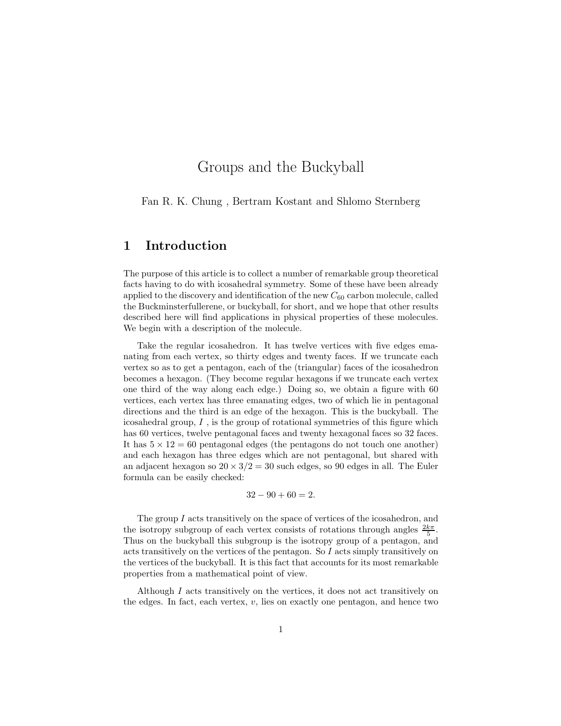### Groups and the Buckyball

Fan R. K. Chung , Bertram Kostant and Shlomo Sternberg

#### 1 Introduction

The purpose of this article is to collect a number of remarkable group theoretical facts having to do with icosahedral symmetry. Some of these have been already applied to the discovery and identification of the new  $C_{60}$  carbon molecule, called the Buckminsterfullerene, or buckyball, for short, and we hope that other results described here will find applications in physical properties of these molecules. We begin with a description of the molecule.

Take the regular icosahedron. It has twelve vertices with five edges emanating from each vertex, so thirty edges and twenty faces. If we truncate each vertex so as to get a pentagon, each of the (triangular) faces of the icosahedron becomes a hexagon. (They become regular hexagons if we truncate each vertex one third of the way along each edge.) Doing so, we obtain a figure with 60 vertices, each vertex has three emanating edges, two of which lie in pentagonal directions and the third is an edge of the hexagon. This is the buckyball. The icosahedral group, I , is the group of rotational symmetries of this figure which has 60 vertices, twelve pentagonal faces and twenty hexagonal faces so 32 faces. It has  $5 \times 12 = 60$  pentagonal edges (the pentagons do not touch one another) and each hexagon has three edges which are not pentagonal, but shared with an adjacent hexagon so  $20 \times 3/2 = 30$  such edges, so 90 edges in all. The Euler formula can be easily checked:

$$
32 - 90 + 60 = 2.
$$

The group  $I$  acts transitively on the space of vertices of the icosahedron, and the isotropy subgroup of each vertex consists of rotations through angles  $\frac{2k\pi}{5}$ . Thus on the buckyball this subgroup is the isotropy group of a pentagon, and acts transitively on the vertices of the pentagon. So I acts simply transitively on the vertices of the buckyball. It is this fact that accounts for its most remarkable properties from a mathematical point of view.

Although  $I$  acts transitively on the vertices, it does not act transitively on the edges. In fact, each vertex,  $v$ , lies on exactly one pentagon, and hence two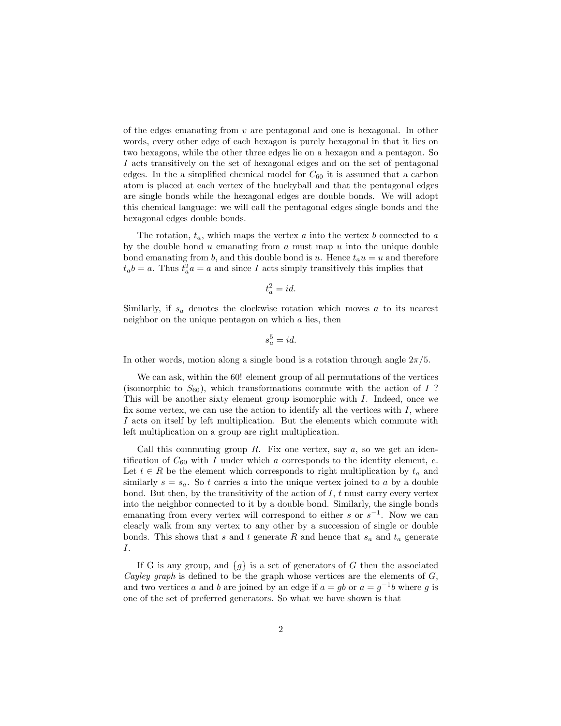of the edges emanating from  $v$  are pentagonal and one is hexagonal. In other words, every other edge of each hexagon is purely hexagonal in that it lies on two hexagons, while the other three edges lie on a hexagon and a pentagon. So I acts transitively on the set of hexagonal edges and on the set of pentagonal edges. In the a simplified chemical model for  $C_{60}$  it is assumed that a carbon atom is placed at each vertex of the buckyball and that the pentagonal edges are single bonds while the hexagonal edges are double bonds. We will adopt this chemical language: we will call the pentagonal edges single bonds and the hexagonal edges double bonds.

The rotation,  $t_a$ , which maps the vertex a into the vertex b connected to a by the double bond  $u$  emanating from  $a$  must map  $u$  into the unique double bond emanating from b, and this double bond is u. Hence  $t_a u = u$  and therefore  $t_a b = a$ . Thus  $t_a^2 a = a$  and since I acts simply transitively this implies that

$$
t_a^2 = id.
$$

Similarly, if  $s_a$  denotes the clockwise rotation which moves a to its nearest neighbor on the unique pentagon on which a lies, then

$$
s_a^5 = id.
$$

In other words, motion along a single bond is a rotation through angle  $2\pi/5$ .

We can ask, within the 60! element group of all permutations of the vertices (isomorphic to  $S_{60}$ ), which transformations commute with the action of I? This will be another sixty element group isomorphic with I. Indeed, once we fix some vertex, we can use the action to identify all the vertices with  $I$ , where I acts on itself by left multiplication. But the elements which commute with left multiplication on a group are right multiplication.

Call this commuting group R. Fix one vertex, say  $a$ , so we get an identification of  $C_{60}$  with I under which a corresponds to the identity element, e. Let  $t \in R$  be the element which corresponds to right multiplication by  $t_a$  and similarly  $s = s_a$ . So t carries a into the unique vertex joined to a by a double bond. But then, by the transitivity of the action of  $I, t$  must carry every vertex into the neighbor connected to it by a double bond. Similarly, the single bonds emanating from every vertex will correspond to either s or  $s^{-1}$ . Now we can clearly walk from any vertex to any other by a succession of single or double bonds. This shows that s and t generate R and hence that  $s_a$  and  $t_a$  generate I.

If G is any group, and  $\{g\}$  is a set of generators of G then the associated Cayley graph is defined to be the graph whose vertices are the elements of  $G$ , and two vertices a and b are joined by an edge if  $a = gb$  or  $a = g^{-1}b$  where g is one of the set of preferred generators. So what we have shown is that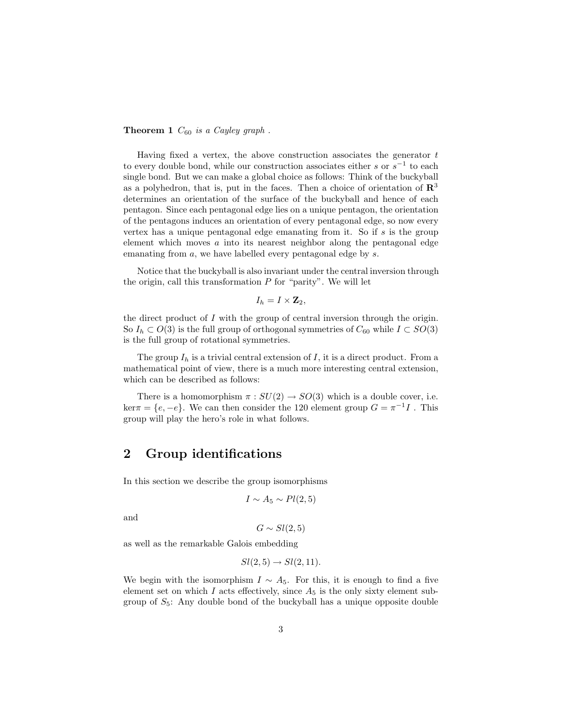#### **Theorem 1**  $C_{60}$  is a Cayley graph.

Having fixed a vertex, the above construction associates the generator  $t$ to every double bond, while our construction associates either s or  $s^{-1}$  to each single bond. But we can make a global choice as follows: Think of the buckyball as a polyhedron, that is, put in the faces. Then a choice of orientation of  $\mathbb{R}^3$ determines an orientation of the surface of the buckyball and hence of each pentagon. Since each pentagonal edge lies on a unique pentagon, the orientation of the pentagons induces an orientation of every pentagonal edge, so now every vertex has a unique pentagonal edge emanating from it. So if  $s$  is the group element which moves a into its nearest neighbor along the pentagonal edge emanating from a, we have labelled every pentagonal edge by s.

Notice that the buckyball is also invariant under the central inversion through the origin, call this transformation  $P$  for "parity". We will let

$$
I_h = I \times \mathbf{Z}_2,
$$

the direct product of  $I$  with the group of central inversion through the origin. So  $I_h \subset O(3)$  is the full group of orthogonal symmetries of  $C_{60}$  while  $I \subset SO(3)$ is the full group of rotational symmetries.

The group  $I_h$  is a trivial central extension of  $I$ , it is a direct product. From a mathematical point of view, there is a much more interesting central extension, which can be described as follows:

There is a homomorphism  $\pi : SU(2) \rightarrow SO(3)$  which is a double cover, i.e.  $\ker \pi = \{e, -e\}.$  We can then consider the 120 element group  $G = \pi^{-1}I$ . This group will play the hero's role in what follows.

### 2 Group identifications

In this section we describe the group isomorphisms

$$
I \sim A_5 \sim Pl(2,5)
$$

and

 $G \sim Sl(2,5)$ 

as well as the remarkable Galois embedding

$$
Sl(2,5) \rightarrow Sl(2,11).
$$

We begin with the isomorphism  $I \sim A_5$ . For this, it is enough to find a five element set on which I acts effectively, since  $A_5$  is the only sixty element subgroup of  $S_5$ : Any double bond of the buckyball has a unique opposite double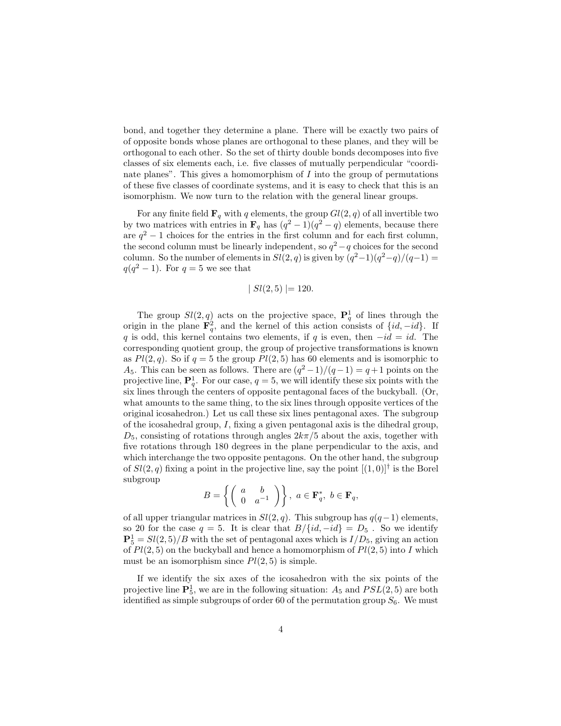bond, and together they determine a plane. There will be exactly two pairs of of opposite bonds whose planes are orthogonal to these planes, and they will be orthogonal to each other. So the set of thirty double bonds decomposes into five classes of six elements each, i.e. five classes of mutually perpendicular "coordinate planes". This gives a homomorphism of  $I$  into the group of permutations of these five classes of coordinate systems, and it is easy to check that this is an isomorphism. We now turn to the relation with the general linear groups.

For any finite field  $\mathbf{F}_q$  with q elements, the group  $Gl(2,q)$  of all invertible two by two matrices with entries in  $\mathbf{F}_q$  has  $(q^2-1)(q^2-q)$  elements, because there are  $q^2 - 1$  choices for the entries in the first column and for each first column, the second column must be linearly independent, so  $q^2 - q$  choices for the second column. So the number of elements in  $Sl(2,q)$  is given by  $(q^2-1)(q^2-q)/(q-1)$  =  $q(q^2-1)$ . For  $q=5$  we see that

$$
|Sl(2,5)| = 120.
$$

The group  $Sl(2, q)$  acts on the projective space,  $\mathbf{P}_q^1$  of lines through the origin in the plane  $\mathbf{F}_q^2$ , and the kernel of this action consists of  $\{id, -id\}$ . If q is odd, this kernel contains two elements, if q is even, then  $-id = id$ . The corresponding quotient group, the group of projective transformations is known as  $Pl(2, q)$ . So if  $q = 5$  the group  $Pl(2, 5)$  has 60 elements and is isomorphic to A<sub>5</sub>. This can be seen as follows. There are  $(q^2-1)/(q-1) = q+1$  points on the projective line,  $\mathbf{P}_q^1$ . For our case,  $q=5$ , we will identify these six points with the six lines through the centers of opposite pentagonal faces of the buckyball. (Or, what amounts to the same thing, to the six lines through opposite vertices of the original icosahedron.) Let us call these six lines pentagonal axes. The subgroup of the icosahedral group, I, fixing a given pentagonal axis is the dihedral group,  $D_5$ , consisting of rotations through angles  $2k\pi/5$  about the axis, together with five rotations through 180 degrees in the plane perpendicular to the axis, and which interchange the two opposite pentagons. On the other hand, the subgroup of  $Sl(2, q)$  fixing a point in the projective line, say the point  $[(1, 0)]^{\dagger}$  is the Borel subgroup

$$
B = \left\{ \left( \begin{array}{cc} a & b \\ 0 & a^{-1} \end{array} \right) \right\}, \ a \in \mathbf{F}_q^*, \ b \in \mathbf{F}_q,
$$

of all upper triangular matrices in  $Sl(2, q)$ . This subgroup has  $q(q-1)$  elements, so 20 for the case  $q = 5$ . It is clear that  $B/{id, -id} = D_5$ . So we identify  $\mathbf{P}_5^1 = Sl(2, 5)/B$  with the set of pentagonal axes which is  $I/D_5$ , giving an action of  $Pl(2, 5)$  on the buckyball and hence a homomorphism of  $Pl(2, 5)$  into I which must be an isomorphism since  $Pl(2, 5)$  is simple.

If we identify the six axes of the icosahedron with the six points of the projective line  $\mathbf{P}_5^1$ , we are in the following situation:  $A_5$  and  $PSL(2, 5)$  are both identified as simple subgroups of order 60 of the permutation group  $S_6$ . We must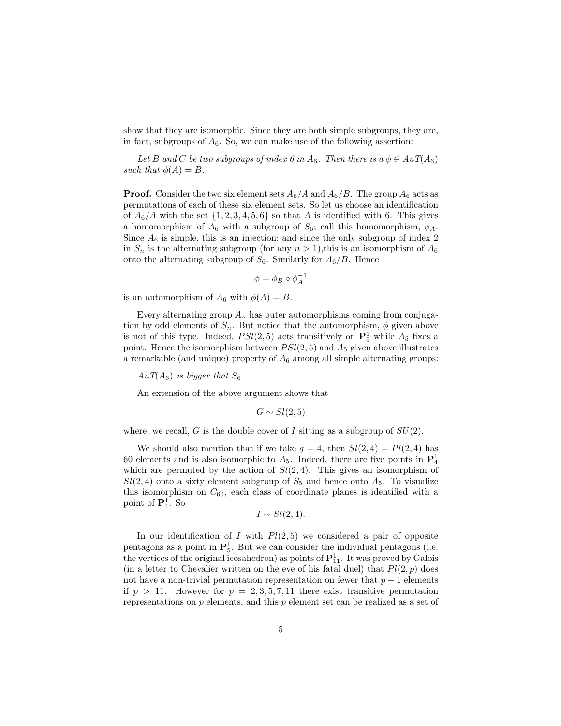show that they are isomorphic. Since they are both simple subgroups, they are, in fact, subgroups of  $A_6$ . So, we can make use of the following assertion:

Let B and C be two subgroups of index 6 in  $A_6$ . Then there is  $a \phi \in AuT(A_6)$ such that  $\phi(A) = B$ .

**Proof.** Consider the two six element sets  $A_6/A$  and  $A_6/B$ . The group  $A_6$  acts as permutations of each of these six element sets. So let us choose an identification of  $A_6/A$  with the set  $\{1, 2, 3, 4, 5, 6\}$  so that A is identified with 6. This gives a homomorphism of  $A_6$  with a subgroup of  $S_6$ ; call this homomorphism,  $\phi_A$ . Since  $A_6$  is simple, this is an injection; and since the only subgroup of index 2 in  $S_n$  is the alternating subgroup (for any  $n > 1$ ), this is an isomorphism of  $A_6$ onto the alternating subgroup of  $S_6$ . Similarly for  $A_6/B$ . Hence

$$
\phi = \phi_B \circ \phi_A^{-1}
$$

is an automorphism of  $A_6$  with  $\phi(A) = B$ .

Every alternating group  $A_n$  has outer automorphisms coming from conjugation by odd elements of  $S_n$ . But notice that the automorphism,  $\phi$  given above is not of this type. Indeed,  $PSl(2, 5)$  acts transitively on  $\mathbf{P}_5^1$  while  $A_5$  fixes a point. Hence the isomorphism between  $PSl(2, 5)$  and  $A_5$  given above illustrates a remarkable (and unique) property of  $A_6$  among all simple alternating groups:

 $AuT(A_6)$  is bigger that  $S_6$ .

An extension of the above argument shows that

$$
G \sim Sl(2,5)
$$

where, we recall, G is the double cover of I sitting as a subgroup of  $SU(2)$ .

We should also mention that if we take  $q = 4$ , then  $Sl(2, 4) = Pl(2, 4)$  has 60 elements and is also isomorphic to  $A_5$ . Indeed, there are five points in  $\mathbf{P}_4^1$ which are permuted by the action of  $Sl(2, 4)$ . This gives an isomorphism of  $Sl(2, 4)$  onto a sixty element subgroup of  $S_5$  and hence onto  $A_5$ . To visualize this isomorphism on  $C_{60}$ , each class of coordinate planes is identified with a point of  $\mathbf{P}_4^1$ . So

$$
I \sim Sl(2,4).
$$

In our identification of I with  $Pl(2, 5)$  we considered a pair of opposite pentagons as a point in  $\mathbf{P}_5^1$ . But we can consider the individual pentagons (i.e. the vertices of the original icosahedron) as points of  $\mathbf{P}^1_{11}$ . It was proved by Galois (in a letter to Chevalier written on the eve of his fatal duel) that  $Pl(2, p)$  does not have a non-trivial permutation representation on fewer that  $p + 1$  elements if  $p > 11$ . However for  $p = 2, 3, 5, 7, 11$  there exist transitive permutation representations on p elements, and this p element set can be realized as a set of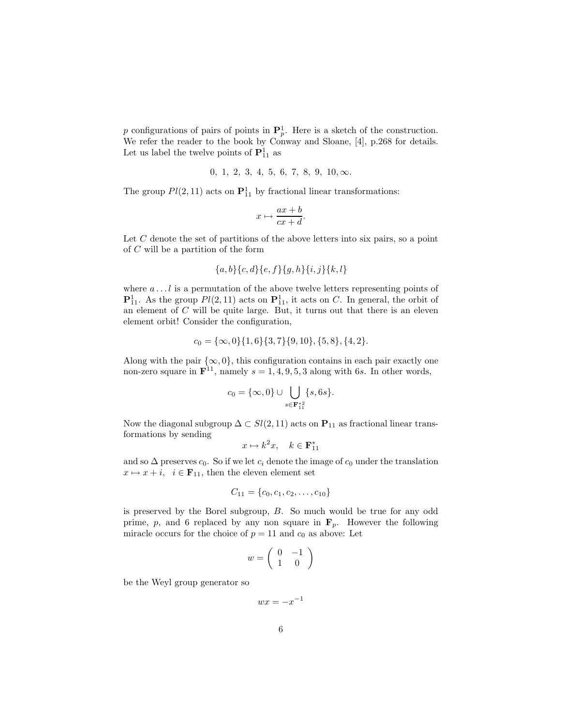p configurations of pairs of points in  $\mathbf{P}_p^1$ . Here is a sketch of the construction. We refer the reader to the book by Conway and Sloane, [4], p.268 for details. Let us label the twelve points of  $\mathbf{P}_{11}^1$  as

$$
0, 1, 2, 3, 4, 5, 6, 7, 8, 9, 10, \infty.
$$

The group  $Pl(2, 11)$  acts on  $\mathbf{P}_{11}^1$  by fractional linear transformations:

$$
x \mapsto \frac{ax+b}{cx+d}.
$$

Let C denote the set of partitions of the above letters into six pairs, so a point of C will be a partition of the form

$$
\{a,b\}\{c,d\}\{e,f\}\{g,h\}\{i,j\}\{k,l\}
$$

where  $a \dots l$  is a permutation of the above twelve letters representing points of  ${\bf P}_{11}^1$ . As the group  $Pl(2,11)$  acts on  ${\bf P}_{11}^1$ , it acts on C. In general, the orbit of an element of C will be quite large. But, it turns out that there is an eleven element orbit! Consider the configuration,

$$
c_0 = \{\infty, 0\}\{1, 6\}\{3, 7\}\{9, 10\}, \{5, 8\}, \{4, 2\}.
$$

Along with the pair  $\{\infty, 0\}$ , this configuration contains in each pair exactly one non-zero square in  $\mathbf{F}^{11}$ , namely  $s = 1, 4, 9, 5, 3$  along with 6s. In other words,

$$
c_0 = \{\infty, 0\} \cup \bigcup_{s \in \mathbf{F}_{11}^{*2}} \{s, 6s\}.
$$

Now the diagonal subgroup  $\Delta \subset Sl(2,11)$  acts on  $P_{11}$  as fractional linear transformations by sending

$$
x \mapsto k^2 x, \quad k \in \mathbf{F}_{11}^*
$$

and so  $\Delta$  preserves  $c_0$ . So if we let  $c_i$  denote the image of  $c_0$  under the translation  $x \mapsto x + i$ ,  $i \in \mathbf{F}_{11}$ , then the eleven element set

$$
C_{11} = \{c_0, c_1, c_2, \ldots, c_{10}\}
$$

is preserved by the Borel subgroup, B. So much would be true for any odd prime, p, and 6 replaced by any non square in  $\mathbf{F}_p$ . However the following miracle occurs for the choice of  $p = 11$  and  $c_0$  as above: Let

$$
w = \left(\begin{array}{cc} 0 & -1 \\ 1 & 0 \end{array}\right)
$$

be the Weyl group generator so

$$
wx = -x^{-1}
$$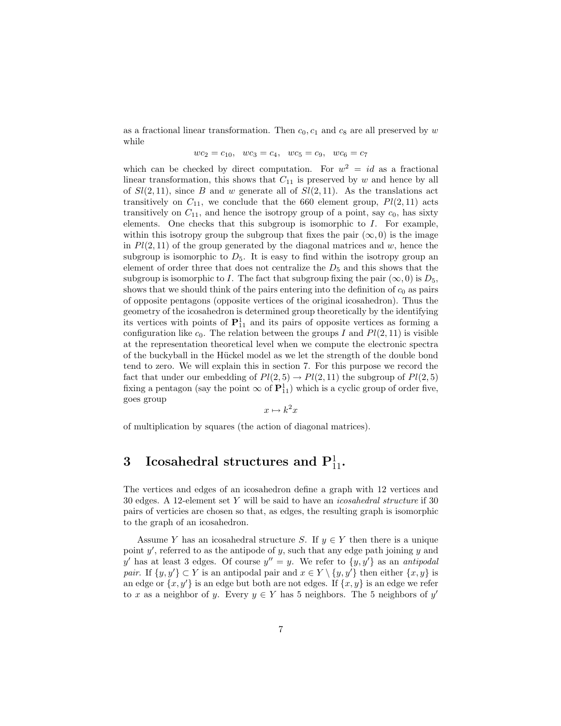as a fractional linear transformation. Then  $c_0$ ,  $c_1$  and  $c_8$  are all preserved by w while

$$
wc_2 = c_{10}, \ \ wc_3 = c_4, \ \ wc_5 = c_9, \ \ wc_6 = c_7
$$

which can be checked by direct computation. For  $w^2 = id$  as a fractional linear transformation, this shows that  $C_{11}$  is preserved by w and hence by all of  $Sl(2, 11)$ , since B and w generate all of  $Sl(2, 11)$ . As the translations act transitively on  $C_{11}$ , we conclude that the 660 element group,  $Pl(2, 11)$  acts transitively on  $C_{11}$ , and hence the isotropy group of a point, say  $c_0$ , has sixty elements. One checks that this subgroup is isomorphic to I. For example, within this isotropy group the subgroup that fixes the pair  $(\infty, 0)$  is the image in  $Pl(2, 11)$  of the group generated by the diagonal matrices and w, hence the subgroup is isomorphic to  $D_5$ . It is easy to find within the isotropy group an element of order three that does not centralize the  $D_5$  and this shows that the subgroup is isomorphic to I. The fact that subgroup fixing the pair  $(\infty, 0)$  is  $D_5$ , shows that we should think of the pairs entering into the definition of  $c_0$  as pairs of opposite pentagons (opposite vertices of the original icosahedron). Thus the geometry of the icosahedron is determined group theoretically by the identifying its vertices with points of  $P_{11}^1$  and its pairs of opposite vertices as forming a configuration like  $c_0$ . The relation between the groups I and  $Pl(2, 11)$  is visible at the representation theoretical level when we compute the electronic spectra of the buckyball in the H¨uckel model as we let the strength of the double bond tend to zero. We will explain this in section 7. For this purpose we record the fact that under our embedding of  $Pl(2, 5) \rightarrow Pl(2, 11)$  the subgroup of  $Pl(2, 5)$ fixing a pentagon (say the point  $\infty$  of  $\mathbf{P}_{11}^1$ ) which is a cyclic group of order five, goes group

$$
x \mapsto k^2 x
$$

of multiplication by squares (the action of diagonal matrices).

# $3$  Icosahedral structures and  ${\bf P}_{11}^1.$

The vertices and edges of an icosahedron define a graph with 12 vertices and 30 edges. A 12-element set Y will be said to have an icosahedral structure if 30 pairs of verticies are chosen so that, as edges, the resulting graph is isomorphic to the graph of an icosahedron.

Assume Y has an icosahedral structure S. If  $y \in Y$  then there is a unique point  $y'$ , referred to as the antipode of  $y$ , such that any edge path joining  $y$  and y' has at least 3 edges. Of course  $y'' = y$ . We refer to  $\{y, y'\}$  as an antipodal pair. If  $\{y, y'\} \subset Y$  is an antipodal pair and  $x \in Y \setminus \{y, y'\}$  then either  $\{x, y\}$  is an edge or  $\{x, y'\}$  is an edge but both are not edges. If  $\{x, y\}$  is an edge we refer to x as a neighbor of y. Every  $y \in Y$  has 5 neighbors. The 5 neighbors of y'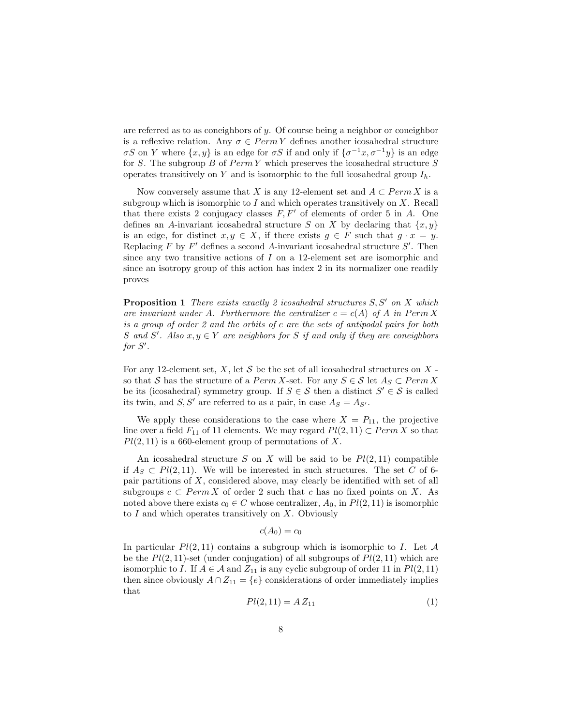are referred as to as coneighbors of y. Of course being a neighbor or coneighbor is a reflexive relation. Any  $\sigma \in PermY$  defines another icosahedral structure  $\sigma S$  on Y where  $\{x, y\}$  is an edge for  $\sigma S$  if and only if  $\{\sigma^{-1}x, \sigma^{-1}y\}$  is an edge for S. The subgroup  $B$  of  $PermY$  which preserves the icosahedral structure  $S$ operates transitively on Y and is isomorphic to the full icosahedral group  $I_h$ .

Now conversely assume that X is any 12-element set and  $A \subset Perm X$  is a subgroup which is isomorphic to I and which operates transitively on  $X$ . Recall that there exists 2 conjugacy classes  $F, F'$  of elements of order 5 in A. One defines an A-invariant icosahedral structure S on X by declaring that  $\{x, y\}$ is an edge, for distinct  $x, y \in X$ , if there exists  $g \in F$  such that  $g \cdot x = y$ . Replacing  $F$  by  $F'$  defines a second A-invariant icosahedral structure  $S'$ . Then since any two transitive actions of I on a 12-element set are isomorphic and since an isotropy group of this action has index 2 in its normalizer one readily proves

**Proposition 1** There exists exactly 2 icosahedral structures S, S' on X which are invariant under A. Furthermore the centralizer  $c = c(A)$  of A in Perm X is a group of order 2 and the orbits of c are the sets of antipodal pairs for both S and S'. Also  $x, y \in Y$  are neighbors for S if and only if they are coneighbors for  $S'$ .

For any 12-element set,  $X$ , let  $S$  be the set of all icosahedral structures on  $X$ so that S has the structure of a  $PermX\text{-set}$ . For any  $S \in \mathcal{S}$  let  $A_S \subset PermX$ be its (icosahedral) symmetry group. If  $S \in \mathcal{S}$  then a distinct  $S' \in \mathcal{S}$  is called its twin, and  $S, S'$  are referred to as a pair, in case  $A_S = A_{S'}$ .

We apply these considerations to the case where  $X = P_{11}$ , the projective line over a field  $F_{11}$  of 11 elements. We may regard  $Pl(2, 11) \subset Perm X$  so that  $Pl(2, 11)$  is a 660-element group of permutations of X.

An icosahedral structure S on X will be said to be  $Pl(2, 11)$  compatible if  $A_S \,\subset P\ell(2,11)$ . We will be interested in such structures. The set C of 6pair partitions of  $X$ , considered above, may clearly be identified with set of all subgroups  $c \subset Perm X$  of order 2 such that c has no fixed points on X. As noted above there exists  $c_0 \in C$  whose centralizer,  $A_0$ , in  $Pl(2, 11)$  is isomorphic to  $I$  and which operates transitively on  $X$ . Obviously

$$
c(A_0)=c_0
$$

In particular  $Pl(2, 11)$  contains a subgroup which is isomorphic to I. Let A be the  $Pl(2, 11)$ -set (under conjugation) of all subgroups of  $Pl(2, 11)$  which are isomorphic to I. If  $A \in \mathcal{A}$  and  $Z_{11}$  is any cyclic subgroup of order 11 in  $Pl(2, 11)$ then since obviously  $A \cap Z_{11} = \{e\}$  considerations of order immediately implies that

$$
Pl(2,11) = A Z_{11} \tag{1}
$$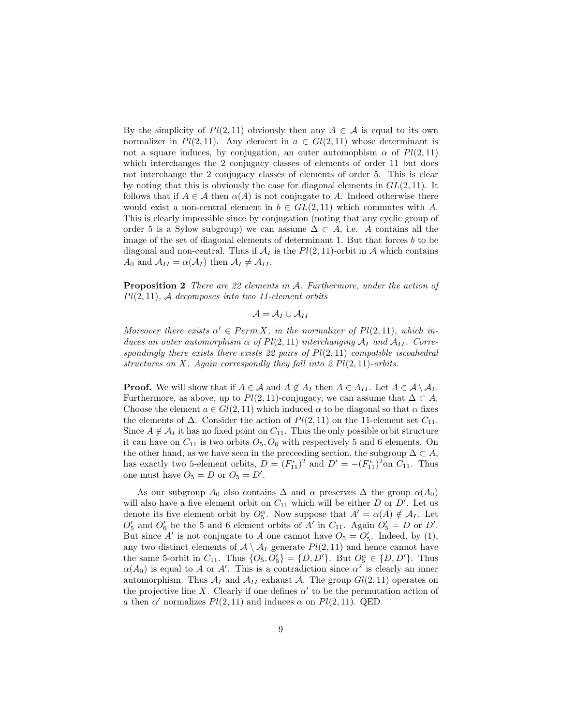By the simplicity of  $Pl(2, 11)$  obviously then any  $A \in \mathcal{A}$  is equal to its own normalizer in  $Pl(2, 11)$ . Any element in  $a \in Gl(2, 11)$  whose determinant is not a square induces, by conjugation, an outer automophism  $\alpha$  of  $Pl(2, 11)$ which interchanges the 2 conjugacy classes of elements of order 11 but does not interchange the 2 conjugacy classes of elements of order 5. This is clear by noting that this is obviously the case for diagonal elements in  $GL(2, 11)$ . It follows that if  $A \in \mathcal{A}$  then  $\alpha(A)$  is not conjugate to A. Indeed otherwise there would exist a non-central element in  $b \in GL(2,11)$  which commutes with A. This is clearly impossible since by conjugation (noting that any cyclic group of order 5 is a Sylow subgroup) we can assume  $\Delta \subset A$ , i.e. A contains all the image of the set of diagonal elements of determinant 1. But that forces  $b$  to be diagonal and non-central. Thus if  $A_I$  is the  $Pl(2, 11)$ -orbit in A which contains  $A_0$  and  $A_{II} = \alpha(A_I)$  then  $A_I \neq A_{II}$ .

Proposition 2 There are 22 elements in A. Furthermore, under the action of  $Pl(2, 11)$ , A decomposes into two 11-element orbits

 $\mathcal{A} = \mathcal{A}_I \cup \mathcal{A}_{II}$ 

Moreover there exists  $\alpha' \in Perm X$ , in the normalizer of  $Pl(2, 11)$ , which induces an outer automorphism  $\alpha$  of  $Pl(2, 11)$  interchanging  $\mathcal{A}_I$  and  $\mathcal{A}_{II}$ . Correspondingly there exists there exists 22 pairs of  $Pl(2, 11)$  compatible iscoahedral structures on X. Again correspondly they fall into  $2 Pl(2, 11)$ -orbits.

**Proof.** We will show that if  $A \in \mathcal{A}$  and  $A \notin A_I$  then  $A \in A_{II}$ . Let  $A \in \mathcal{A} \setminus A_I$ . Furthermore, as above, up to  $Pl(2, 11)$ -conjugacy, we can assume that  $\Delta \subset A$ . Choose the element  $a \in Gl(2, 11)$  which induced  $\alpha$  to be diagonal so that  $\alpha$  fixes the elements of  $\Delta$ . Consider the action of  $Pl(2, 11)$  on the 11-element set  $C_{11}$ . Since  $A \notin \mathcal{A}_I$  it has no fixed point on  $C_{11}$ . Thus the only possible orbit structure it can have on  $C_{11}$  is two orbits  $O_5, O_6$  with respectively 5 and 6 elements. On the other hand, as we have seen in the preceeding section, the subgroup  $\Delta \subset A$ , has exactly two 5-element orbits,  $D = (F_{11}^*)^2$  and  $D' = -(F_{11}^*)^2$  on  $C_{11}$ . Thus one must have  $O_5 = D$  or  $O_5 = D'$ .

As our subgroup  $A_0$  also contains  $\Delta$  and  $\alpha$  preserves  $\Delta$  the group  $\alpha(A_0)$ will also have a five element orbit on  $C_{11}$  which will be either D or D'. Let us denote its five element orbit by  $O_5^{\alpha}$ . Now suppose that  $A' = \alpha(A) \notin \mathcal{A}_I$ . Let  $O'_5$  and  $O'_6$  be the 5 and 6 element orbits of A' in  $C_{11}$ . Again  $O'_5 = D$  or D'. But since A' is not conjugate to A one cannot have  $O_5 = O'_5$ . Indeed, by (1), any two distinct elements of  $A \setminus A_I$  generate  $Pl(2, 11)$  and hence cannot have the same 5-orbit in  $C_{11}$ . Thus  $\{O_5, O'_5\} = \{D, D'\}$ . But  $O_5^{\alpha} \in \{D, D'\}$ . Thus  $\alpha(A_0)$  is equal to A or A'. This is a contradiction since  $\alpha^2$  is clearly an inner automorphism. Thus  $\mathcal{A}_I$  and  $\mathcal{A}_{II}$  exhaust  $\mathcal{A}$ . The group  $Gl(2, 11)$  operates on the projective line X. Clearly if one defines  $\alpha'$  to be the permutation action of a then  $\alpha'$  normalizes  $Pl(2, 11)$  and induces  $\alpha$  on  $Pl(2, 11)$ . QED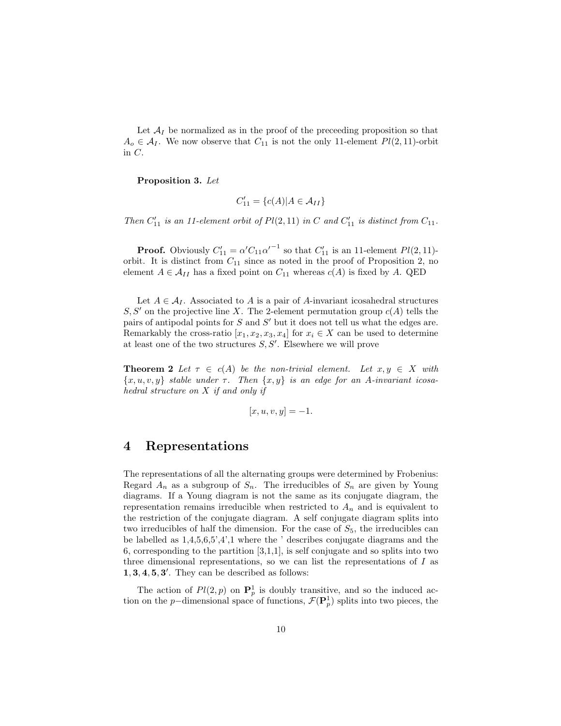Let  $A_I$  be normalized as in the proof of the preceeding proposition so that  $A_o \in \mathcal{A}_I$ . We now observe that  $C_{11}$  is not the only 11-element  $Pl(2, 11)$ -orbit in C.

Proposition 3. Let

$$
C'_{11} = \{c(A)|A \in \mathcal{A}_{II}\}\
$$

Then  $C'_{11}$  is an 11-element orbit of  $Pl(2, 11)$  in C and  $C'_{11}$  is distinct from  $C_{11}$ .

**Proof.** Obviously  $C'_{11} = \alpha' C_{11} {\alpha'}^{-1}$  so that  $C'_{11}$  is an 11-element  $Pl(2, 11)$ orbit. It is distinct from  $C_{11}$  since as noted in the proof of Proposition 2, no element  $A \in \mathcal{A}_{II}$  has a fixed point on  $C_{11}$  whereas  $c(A)$  is fixed by A. QED

Let  $A \in \mathcal{A}_I$ . Associated to A is a pair of A-invariant icosahedral structures  $S, S'$  on the projective line X. The 2-element permutation group  $c(A)$  tells the pairs of antipodal points for  $S$  and  $S'$  but it does not tell us what the edges are. Remarkably the cross-ratio  $[x_1, x_2, x_3, x_4]$  for  $x_i \in X$  can be used to determine at least one of the two structures  $S, S'$ . Elsewhere we will prove

**Theorem 2** Let  $\tau \in c(A)$  be the non-trivial element. Let  $x, y \in X$  with  ${x, u, v, y}$  stable under  $\tau$ . Then  ${x, y}$  is an edge for an A-invariant icosahedral structure on X if and only if

$$
[x, u, v, y] = -1.
$$

#### 4 Representations

The representations of all the alternating groups were determined by Frobenius: Regard  $A_n$  as a subgroup of  $S_n$ . The irreducibles of  $S_n$  are given by Young diagrams. If a Young diagram is not the same as its conjugate diagram, the representation remains irreducible when restricted to  $A_n$  and is equivalent to the restriction of the conjugate diagram. A self conjugate diagram splits into two irreducibles of half the dimension. For the case of  $S_5$ , the irreducibles can be labelled as 1,4,5,6,5',4',1 where the ' describes conjugate diagrams and the 6, corresponding to the partition [3,1,1], is self conjugate and so splits into two three dimensional representations, so we can list the representations of  $I$  as  $1, 3, 4, 5, 3'$ . They can be described as follows:

The action of  $Pl(2, p)$  on  $\mathbf{P}_p^1$  is doubly transitive, and so the induced action on the p-dimensional space of functions,  $\mathcal{F}(\mathbf{P}_{p}^{1})$  splits into two pieces, the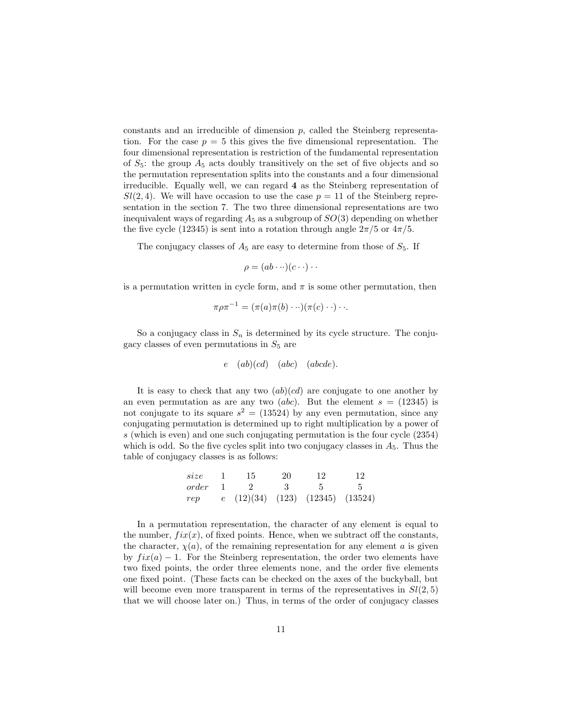constants and an irreducible of dimension  $p$ , called the Steinberg representation. For the case  $p = 5$  this gives the five dimensional representation. The four dimensional representation is restriction of the fundamental representation of  $S_5$ : the group  $A_5$  acts doubly transitively on the set of five objects and so the permutation representation splits into the constants and a four dimensional irreducible. Equally well, we can regard 4 as the Steinberg representation of  $Sl(2, 4)$ . We will have occasion to use the case  $p = 11$  of the Steinberg representation in the section 7. The two three dimensional representations are two inequivalent ways of regarding  $A_5$  as a subgroup of  $SO(3)$  depending on whether the five cycle (12345) is sent into a rotation through angle  $2\pi/5$  or  $4\pi/5$ .

The conjugacy classes of  $A_5$  are easy to determine from those of  $S_5$ . If

$$
\rho = (ab \cdots)(c \cdots) \cdots
$$

is a permutation written in cycle form, and  $\pi$  is some other permutation, then

$$
\pi \rho \pi^{-1} = (\pi(a)\pi(b)\cdots)(\pi(c)\cdots)\cdots
$$

So a conjugacy class in  $S_n$  is determined by its cycle structure. The conjugacy classes of even permutations in  $S_5$  are

$$
e \quad (ab)(cd) \quad (abc) \quad (abcde).
$$

It is easy to check that any two  $(ab)(cd)$  are conjugate to one another by an even permutation as are any two *(abc)*. But the element  $s = (12345)$  is not conjugate to its square  $s^2 = (13524)$  by any even permutation, since any conjugating permutation is determined up to right multiplication by a power of s (which is even) and one such conjugating permutation is the four cycle (2354) which is odd. So the five cycles split into two conjugacy classes in  $A_5$ . Thus the table of conjugacy classes is as follows:

| size  | 15                                 | 20 |  |
|-------|------------------------------------|----|--|
| order |                                    |    |  |
| rep   | $e$ (12)(34) (123) (12345) (13524) |    |  |

In a permutation representation, the character of any element is equal to the number,  $fix(x)$ , of fixed points. Hence, when we subtract off the constants, the character,  $\chi(a)$ , of the remaining representation for any element a is given by  $f\ddot{x}(a) - 1$ . For the Steinberg representation, the order two elements have two fixed points, the order three elements none, and the order five elements one fixed point. (These facts can be checked on the axes of the buckyball, but will become even more transparent in terms of the representatives in  $Sl(2,5)$ that we will choose later on.) Thus, in terms of the order of conjugacy classes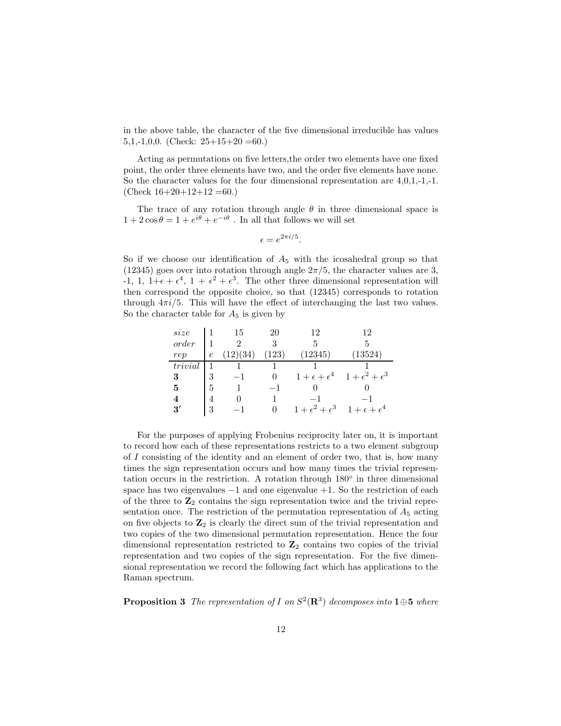in the above table, the character of the five dimensional irreducible has values 5,1,-1,0,0. (Check:  $25+15+20=60.$ )

Acting as permutations on five letters,the order two elements have one fixed point, the order three elements have two, and the order five elements have none. So the character values for the four dimensional representation are 4,0,1,-1,-1.  $(Check 16+20+12+12=60.)$ 

The trace of any rotation through angle  $\theta$  in three dimensional space is  $1 + 2\cos\theta = 1 + e^{i\theta} + e^{-i\theta}$ . In all that follows we will set

$$
\epsilon = e^{2\pi i/5}.
$$

So if we choose our identification of  $A_5$  with the icosahedral group so that (12345) goes over into rotation through angle  $2\pi/5$ , the character values are 3, -1, 1,  $1+\epsilon+\epsilon^4$ ,  $1+\epsilon^2+\epsilon^3$ . The other three dimensional representation will then correspond the opposite choice, so that (12345) corresponds to rotation through  $4\pi i/5$ . This will have the effect of interchanging the last two values. So the character table for  $A_5$  is given by

| size    |            | 15          | 20   | 12                        | 12                        |
|---------|------------|-------------|------|---------------------------|---------------------------|
| order   |            | 9           |      |                           |                           |
| rep     | $\epsilon$ | (34)<br>'2, | 123) | 12345)                    | (13524)                   |
| trivial |            |             |      |                           |                           |
| 3       | 3          |             |      | $1+\epsilon+\epsilon^4$   | $1+\epsilon^2+\epsilon^3$ |
| 5       | 5          |             |      |                           |                           |
|         |            |             |      |                           |                           |
| 3′      | 3          |             |      | $1+\epsilon^2+\epsilon^3$ | $1+\epsilon+\epsilon^4$   |

For the purposes of applying Frobenius reciprocity later on, it is important to record how each of these representations restricts to a two element subgroup of I consisting of the identity and an element of order two, that is, how many times the sign representation occurs and how many times the trivial representation occurs in the restriction. A rotation through 180° in three dimensional space has two eigenvalues  $-1$  and one eigenvalue  $+1$ . So the restriction of each of the three to  $\mathbb{Z}_2$  contains the sign representation twice and the trivial representation once. The restriction of the permutation representation of  $A_5$  acting on five objects to  $\mathbb{Z}_2$  is clearly the direct sum of the trivial representation and two copies of the two dimensional permutation representation. Hence the four dimensional representation restricted to  $\mathbb{Z}_2$  contains two copies of the trivial representation and two copies of the sign representation. For the five dimensional representation we record the following fact which has applications to the Raman spectrum.

**Proposition 3** The representation of I on  $S^2(\mathbf{R}^3)$  decomposes into  $1 \oplus 5$  where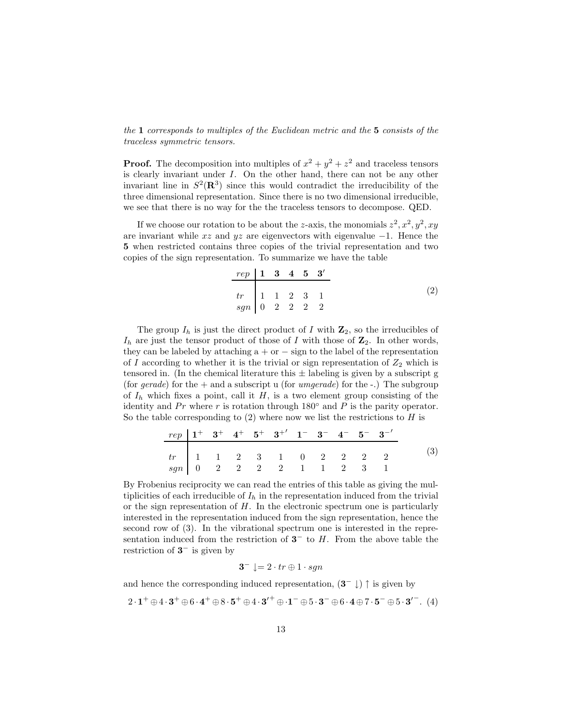the 1 corresponds to multiples of the Euclidean metric and the 5 consists of the traceless symmetric tensors.

**Proof.** The decomposition into multiples of  $x^2 + y^2 + z^2$  and traceless tensors is clearly invariant under I. On the other hand, there can not be any other invariant line in  $S^2(\mathbf{R}^3)$  since this would contradict the irreducibility of the three dimensional representation. Since there is no two dimensional irreducible, we see that there is no way for the the traceless tensors to decompose. QED.

If we choose our rotation to be about the z-axis, the monomials  $z^2$ ,  $x^2$ ,  $y^2$ ,  $xy$ are invariant while  $xz$  and  $yz$  are eigenvectors with eigenvalue  $-1$ . Hence the 5 when restricted contains three copies of the trivial representation and two copies of the sign representation. To summarize we have the table

$$
\begin{array}{c|cccc}\nrep & 1 & 3 & 4 & 5 & 3' \\
\hline\ntr & 1 & 1 & 2 & 3 & 1 \\
sgn & 0 & 2 & 2 & 2 & 2\n\end{array} \tag{2}
$$

The group  $I_h$  is just the direct product of I with  $\mathbb{Z}_2$ , so the irreducibles of  $I_h$  are just the tensor product of those of I with those of  $\mathbb{Z}_2$ . In other words, they can be labeled by attaching  $a + or - sign to the label of the representation$ of I according to whether it is the trivial or sign representation of  $Z_2$  which is tensored in. (In the chemical literature this  $\pm$  labeling is given by a subscript g (for gerade) for the  $+$  and a subscript u (for umgerade) for the  $-$ .) The subgroup of  $I_h$  which fixes a point, call it  $H$ , is a two element group consisting of the identity and Pr where r is rotation through  $180^\circ$  and P is the parity operator. So the table corresponding to  $(2)$  where now we list the restrictions to H is

|  |  | $rep$ $1^+$ $3^+$ $4^+$ $5^+$ $3^+$ $1^ 3^ 4^ 5^ 3^-$                                                                                 |  |  |  |
|--|--|---------------------------------------------------------------------------------------------------------------------------------------|--|--|--|
|  |  |                                                                                                                                       |  |  |  |
|  |  |                                                                                                                                       |  |  |  |
|  |  | $\begin{array}{c ccccccccc} tr & 1 & 1 & 2 & 3 & 1 & 0 & 2 & 2 & 2 & 2 \\ \hline & 0 & 2 & 2 & 2 & 2 & 1 & 1 & 2 & 3 & 1 \end{array}$ |  |  |  |

By Frobenius reciprocity we can read the entries of this table as giving the multiplicities of each irreducible of  $I<sub>h</sub>$  in the representation induced from the trivial or the sign representation of  $H$ . In the electronic spectrum one is particularly interested in the representation induced from the sign representation, hence the second row of (3). In the vibrational spectrum one is interested in the representation induced from the restriction of  $3^-$  to H. From the above table the restriction of  $3^-$  is given by

$$
3^- \downarrow = 2 \cdot tr \oplus 1 \cdot sgn
$$

and hence the corresponding induced representation,  $(3^{-} \downarrow)$   $\uparrow$  is given by

$$
2\cdot\mathbf{1}^+\oplus 4\cdot\mathbf{3}^+\oplus 6\cdot\mathbf{4}^+\oplus 8\cdot\mathbf{5}^+\oplus 4\cdot\mathbf{3'}^+\oplus\cdot\mathbf{1}^-\oplus 5\cdot\mathbf{3}^-\oplus 6\cdot\mathbf{4}\oplus 7\cdot\mathbf{5}^-\oplus 5\cdot\mathbf{3'}^-\,. \eqno(4)
$$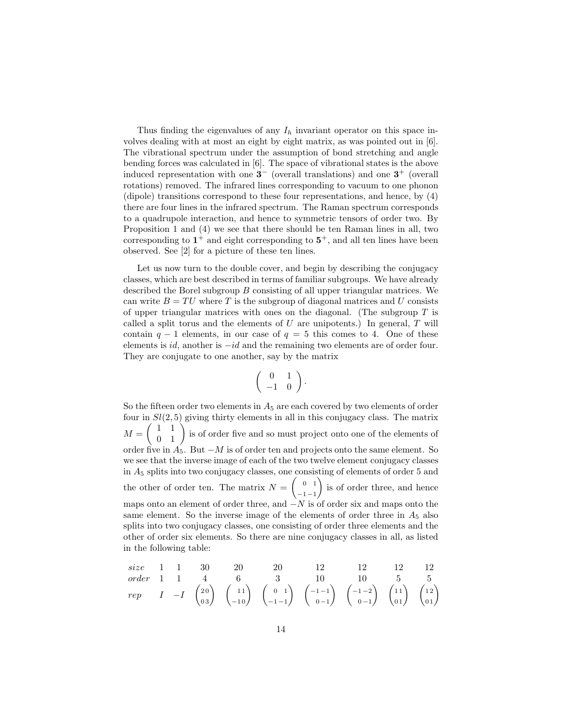Thus finding the eigenvalues of any  $I<sub>h</sub>$  invariant operator on this space involves dealing with at most an eight by eight matrix, as was pointed out in [6]. The vibrational spectrum under the assumption of bond stretching and angle bending forces was calculated in [6]. The space of vibrational states is the above induced representation with one  $3^-$  (overall translations) and one  $3^+$  (overall rotations) removed. The infrared lines corresponding to vacuum to one phonon (dipole) transitions correspond to these four representations, and hence, by (4) there are four lines in the infrared spectrum. The Raman spectrum corresponds to a quadrupole interaction, and hence to symmetric tensors of order two. By Proposition 1 and (4) we see that there should be ten Raman lines in all, two corresponding to  $1^+$  and eight corresponding to  $5^+$ , and all ten lines have been observed. See [2] for a picture of these ten lines.

Let us now turn to the double cover, and begin by describing the conjugacy classes, which are best described in terms of familiar subgroups. We have already described the Borel subgroup B consisting of all upper triangular matrices. We can write  $B = TU$  where T is the subgroup of diagonal matrices and U consists of upper triangular matrices with ones on the diagonal. (The subgroup  $T$  is called a split torus and the elements of  $U$  are unipotents.) In general,  $T$  will contain  $q - 1$  elements, in our case of  $q = 5$  this comes to 4. One of these elements is id, another is −id and the remaining two elements are of order four. They are conjugate to one another, say by the matrix

$$
\left(\begin{array}{cc} 0 & 1 \\ -1 & 0 \end{array}\right).
$$

So the fifteen order two elements in  $A_5$  are each covered by two elements of order four in  $Sl(2, 5)$  giving thirty elements in all in this conjugacy class. The matrix  $M = \begin{pmatrix} 1 & 1 \\ 0 & 1 \end{pmatrix}$  is of order five and so must project onto one of the elements of order five in  $A_5$ . But  $-M$  is of order ten and projects onto the same element. So we see that the inverse image of each of the two twelve element conjugacy classes in  $A_5$  splits into two conjugacy classes, one consisting of elements of order 5 and the other of order ten. The matrix  $N = \begin{pmatrix} 0 & 1 \\ 0 & 1 \end{pmatrix}$  $-1-1$  is of order three, and hence maps onto an element of order three, and  $-N$  is of order six and maps onto the same element. So the inverse image of the elements of order three in  $A_5$  also splits into two conjugacy classes, one consisting of order three elements and the other of order six elements. So there are nine conjugacy classes in all, as listed in the following table:

| size  | 1 | 1  | 30                                       | 20                                        | 20                                               | 12                                                | 12                                                | 12                                       | 12                                       |
|-------|---|----|------------------------------------------|-------------------------------------------|--------------------------------------------------|---------------------------------------------------|---------------------------------------------------|------------------------------------------|------------------------------------------|
| order | 1 | 1  | 4                                        | 6                                         | 3                                                | 10                                                | 10                                                | 5                                        | 5                                        |
| rep   | I | -I | $\begin{pmatrix} 20 \\ 03 \end{pmatrix}$ | $\begin{pmatrix} 11 \\ -10 \end{pmatrix}$ | $\begin{pmatrix} 0 & 1 \\ -1 & -1 \end{pmatrix}$ | $\begin{pmatrix} -1 & -1 \\ 0 & -1 \end{pmatrix}$ | $\begin{pmatrix} -1 & -2 \\ 0 & -1 \end{pmatrix}$ | $\begin{pmatrix} 11 \\ 01 \end{pmatrix}$ | $\begin{pmatrix} 12 \\ 01 \end{pmatrix}$ |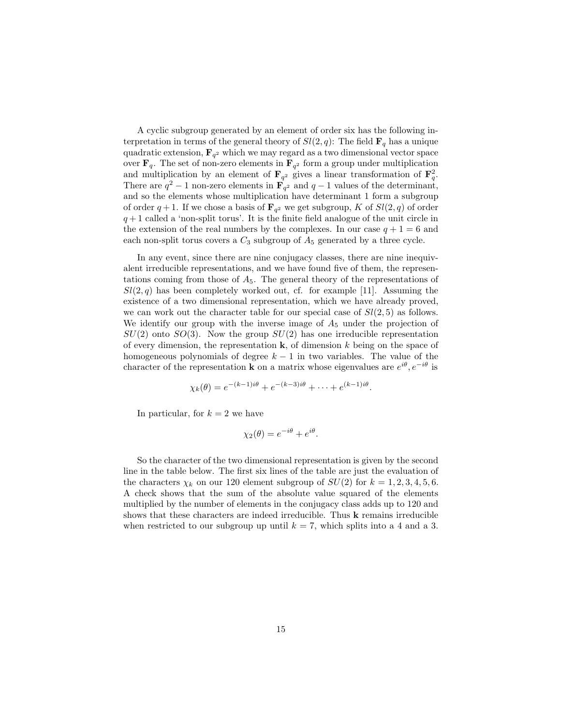A cyclic subgroup generated by an element of order six has the following interpretation in terms of the general theory of  $Sl(2, q)$ : The field  $\mathbf{F}_q$  has a unique quadratic extension,  $\mathbf{F}_{q^2}$  which we may regard as a two dimensional vector space over  $\mathbf{F}_q$ . The set of non-zero elements in  $\mathbf{F}_{q^2}$  form a group under multiplication and multiplication by an element of  $\mathbf{F}_{q^2}$  gives a linear transformation of  $\mathbf{F}_{q}^2$ . There are  $q^2 - 1$  non-zero elements in  $\mathbf{F}_{q^2}$  and  $q - 1$  values of the determinant, and so the elements whose multiplication have determinant 1 form a subgroup of order  $q+1$ . If we chose a basis of  $\mathbf{F}_{q^2}$  we get subgroup, K of  $Sl(2, q)$  of order  $q+1$  called a 'non-split torus'. It is the finite field analogue of the unit circle in the extension of the real numbers by the complexes. In our case  $q + 1 = 6$  and each non-split torus covers a  $C_3$  subgroup of  $A_5$  generated by a three cycle.

In any event, since there are nine conjugacy classes, there are nine inequivalent irreducible representations, and we have found five of them, the representations coming from those of  $A_5$ . The general theory of the representations of  $Sl(2, q)$  has been completely worked out, cf. for example [11]. Assuming the existence of a two dimensional representation, which we have already proved, we can work out the character table for our special case of  $Sl(2, 5)$  as follows. We identify our group with the inverse image of  $A_5$  under the projection of  $SU(2)$  onto  $SO(3)$ . Now the group  $SU(2)$  has one irreducible representation of every dimension, the representation  $k$ , of dimension k being on the space of homogeneous polynomials of degree  $k - 1$  in two variables. The value of the character of the representation **k** on a matrix whose eigenvalues are  $e^{i\theta}$ ,  $e^{-i\theta}$  is

$$
\chi_k(\theta) = e^{-(k-1)i\theta} + e^{-(k-3)i\theta} + \cdots + e^{(k-1)i\theta}.
$$

In particular, for  $k = 2$  we have

$$
\chi_2(\theta) = e^{-i\theta} + e^{i\theta}.
$$

So the character of the two dimensional representation is given by the second line in the table below. The first six lines of the table are just the evaluation of the characters  $\chi_k$  on our 120 element subgroup of  $SU(2)$  for  $k = 1, 2, 3, 4, 5, 6$ . A check shows that the sum of the absolute value squared of the elements multiplied by the number of elements in the conjugacy class adds up to 120 and shows that these characters are indeed irreducible. Thus k remains irreducible when restricted to our subgroup up until  $k = 7$ , which splits into a 4 and a 3.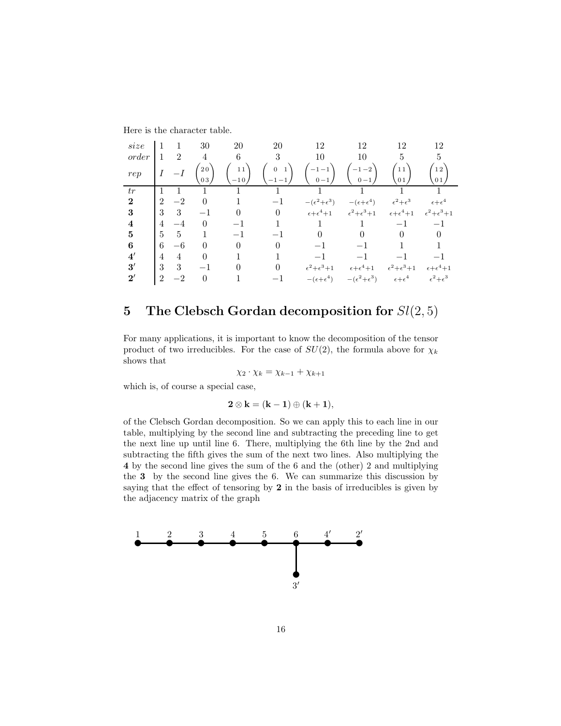| size         |                |                | 30       | 20          | 20           | 12                            | 12                              | 12                                | 12                            |
|--------------|----------------|----------------|----------|-------------|--------------|-------------------------------|---------------------------------|-----------------------------------|-------------------------------|
| order        |                | $\overline{2}$ | 4        | 6           | 3            | 10                            | 10                              | 5                                 | 5                             |
| rep          |                |                | 20<br>03 | 11<br>$-10$ | $\mathbf{0}$ |                               | $-1 - 2$<br>$0 - 1$             | 11<br>01                          | 12<br>0 <sub>1</sub>          |
| tr           |                |                |          |             |              |                               |                                 |                                   |                               |
| $\mathbf{2}$ | $\mathfrak{D}$ | -2             | $\Omega$ |             |              | $-(\epsilon^2 + \epsilon^3)$  | $-(\epsilon+\epsilon^4)$        | $\epsilon^2 + \epsilon^3$         | $\epsilon + \epsilon^4$       |
| 3            | 3              | 3              | $-1$     | 0           | $\Omega$     | $\epsilon+\epsilon^4+1$       | $\epsilon^2 + \epsilon^3 + 1$   | $\epsilon+\epsilon^4+1$           | $\epsilon^2 + \epsilon^3 + 1$ |
| 4            | 4              | -4             | 0        |             |              |                               |                                 | $-1$                              |                               |
| 5            | 5              | 5              |          |             |              |                               |                                 |                                   |                               |
| 6            | 6              | $-6$           | $\Omega$ |             |              |                               |                                 |                                   |                               |
| $4^{\prime}$ | 4              | 4              | $\Omega$ |             |              |                               |                                 |                                   |                               |
| 3'           | 3              | 3              |          |             |              | $\epsilon^2 + \epsilon^3 + 1$ | $\epsilon\!+\!\epsilon^4\!+\!1$ | $\epsilon^2\!+\!\epsilon^3\!+\!1$ | $\epsilon+\epsilon^4+1$       |
| $2^{\prime}$ | $\overline{2}$ | $-2$           | 0        |             |              | $-(\epsilon+\epsilon^4)$      | $-(\epsilon^2 + \epsilon^3)$    | $\epsilon + \epsilon^4$           | $\epsilon^2\!+\!\epsilon^3$   |

Here is the character table.

### 5 The Clebsch Gordan decomposition for  $Sl(2,5)$

For many applications, it is important to know the decomposition of the tensor product of two irreducibles. For the case of  $SU(2)$ , the formula above for  $\chi_k$ shows that

$$
\chi_2 \cdot \chi_k = \chi_{k-1} + \chi_{k+1}
$$

which is, of course a special case,

$$
2\otimes k = (k-1)\oplus (k+1),
$$

of the Clebsch Gordan decomposition. So we can apply this to each line in our table, multiplying by the second line and subtracting the preceding line to get the next line up until line 6. There, multiplying the 6th line by the 2nd and subtracting the fifth gives the sum of the next two lines. Also multiplying the 4 by the second line gives the sum of the 6 and the (other) 2 and multiplying the 3 by the second line gives the 6. We can summarize this discussion by saying that the effect of tensoring by 2 in the basis of irreducibles is given by the adjacency matrix of the graph

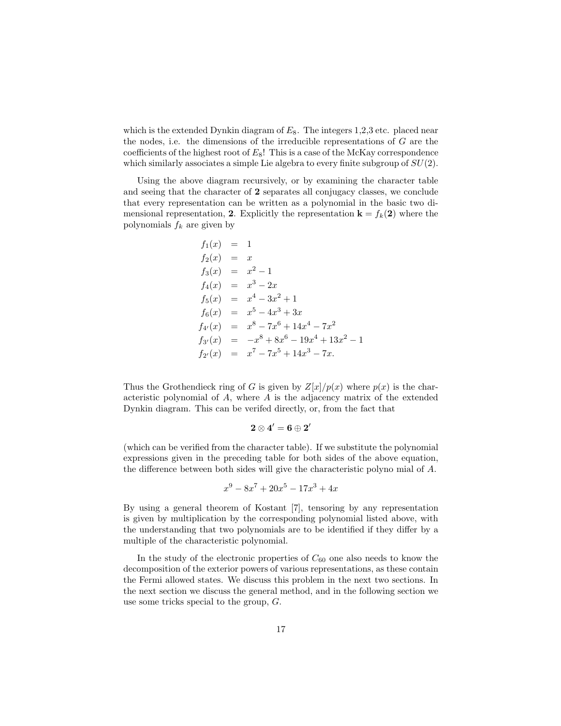which is the extended Dynkin diagram of  $E_8$ . The integers 1,2,3 etc. placed near the nodes, i.e. the dimensions of the irreducible representations of  $G$  are the coefficients of the highest root of  $E_8$ ! This is a case of the McKay correspondence which similarly associates a simple Lie algebra to every finite subgroup of  $SU(2)$ .

Using the above diagram recursively, or by examining the character table and seeing that the character of 2 separates all conjugacy classes, we conclude that every representation can be written as a polynomial in the basic two dimensional representation, 2. Explicitly the representation  $\mathbf{k} = f_k(2)$  where the polynomials  $f_k$  are given by

$$
f_1(x) = 1
$$
  
\n
$$
f_2(x) = x
$$
  
\n
$$
f_3(x) = x^2 - 1
$$
  
\n
$$
f_4(x) = x^3 - 2x
$$
  
\n
$$
f_5(x) = x^4 - 3x^2 + 1
$$
  
\n
$$
f_6(x) = x^5 - 4x^3 + 3x
$$
  
\n
$$
f_{4'}(x) = x^8 - 7x^6 + 14x^4 - 7x^2
$$
  
\n
$$
f_{3'}(x) = -x^8 + 8x^6 - 19x^4 + 13x^2 - 1
$$
  
\n
$$
f_{2'}(x) = x^7 - 7x^5 + 14x^3 - 7x.
$$

Thus the Grothendieck ring of G is given by  $Z[x]/p(x)$  where  $p(x)$  is the characteristic polynomial of A, where A is the adjacency matrix of the extended Dynkin diagram. This can be verifed directly, or, from the fact that

$$
\mathbf{2} \otimes \mathbf{4'} = \mathbf{6} \oplus \mathbf{2'}
$$

(which can be verified from the character table). If we substitute the polynomial expressions given in the preceding table for both sides of the above equation, the difference between both sides will give the characteristic polyno mial of A.

$$
x^9 - 8x^7 + 20x^5 - 17x^3 + 4x
$$

By using a general theorem of Kostant [7], tensoring by any representation is given by multiplication by the corresponding polynomial listed above, with the understanding that two polynomials are to be identified if they differ by a multiple of the characteristic polynomial.

In the study of the electronic properties of  $C_{60}$  one also needs to know the decomposition of the exterior powers of various representations, as these contain the Fermi allowed states. We discuss this problem in the next two sections. In the next section we discuss the general method, and in the following section we use some tricks special to the group, G.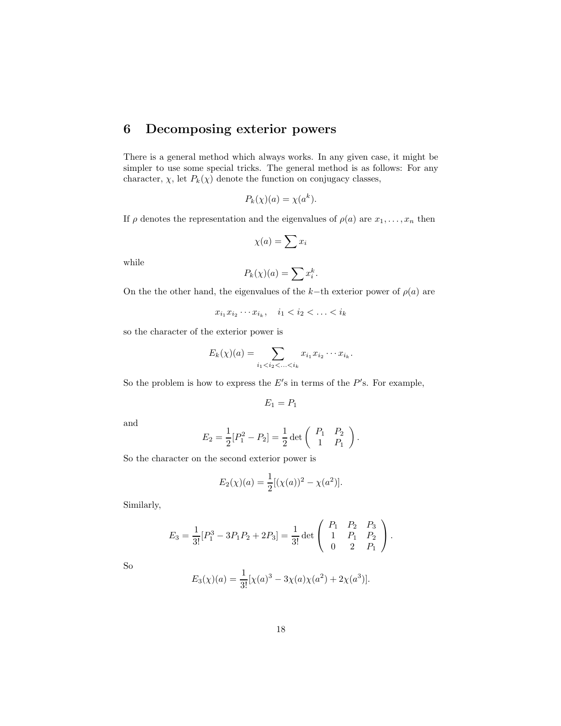### 6 Decomposing exterior powers

There is a general method which always works. In any given case, it might be simpler to use some special tricks. The general method is as follows: For any character,  $\chi$ , let  $P_k(\chi)$  denote the function on conjugacy classes,

$$
P_k(\chi)(a) = \chi(a^k).
$$

If  $\rho$  denotes the representation and the eigenvalues of  $\rho(a)$  are  $x_1, \ldots, x_n$  then

$$
\chi(a) = \sum x_i
$$

while

$$
P_k(\chi)(a) = \sum x_i^k.
$$

On the the other hand, the eigenvalues of the k−th exterior power of  $\rho(a)$  are

$$
x_{i_1} x_{i_2} \cdots x_{i_k}, \quad i_1 < i_2 < \ldots < i_k
$$

so the character of the exterior power is

$$
E_k(\chi)(a) = \sum_{i_1 < i_2 < \ldots < i_k} x_{i_1} x_{i_2} \cdots x_{i_k}.
$$

So the problem is how to express the  $E'$ s in terms of the  $P'$ s. For example,

$$
E_1 = P_1
$$

and

$$
E_2 = \frac{1}{2} [P_1^2 - P_2] = \frac{1}{2} \det \begin{pmatrix} P_1 & P_2 \\ 1 & P_1 \end{pmatrix}.
$$

So the character on the second exterior power is

$$
E_2(\chi)(a) = \frac{1}{2} [(\chi(a))^2 - \chi(a^2)].
$$

Similarly,

$$
E_3 = \frac{1}{3!} [P_1^3 - 3P_1 P_2 + 2P_3] = \frac{1}{3!} \det \begin{pmatrix} P_1 & P_2 & P_3 \\ 1 & P_1 & P_2 \\ 0 & 2 & P_1 \end{pmatrix}.
$$

So

$$
E_3(\chi)(a) = \frac{1}{3!} [\chi(a)^3 - 3\chi(a)\chi(a^2) + 2\chi(a^3)].
$$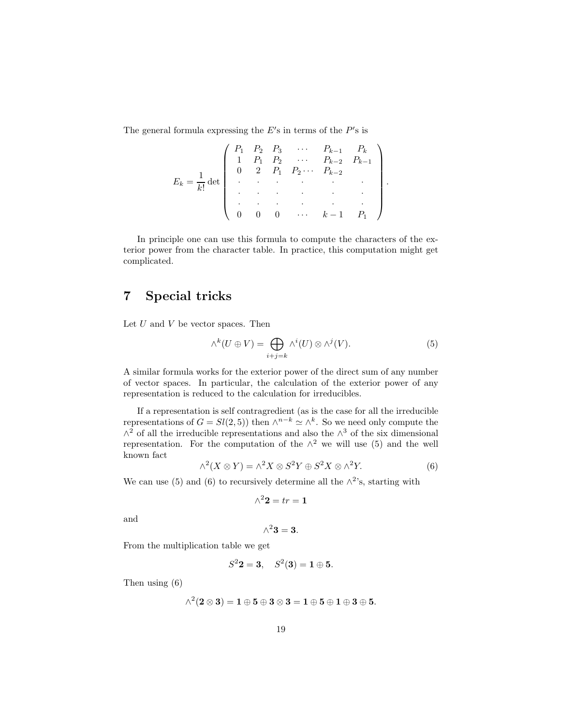The general formula expressing the  $E$ 's in terms of the  $P$ 's is

$$
E_k = \frac{1}{k!} \det \begin{pmatrix} P_1 & P_2 & P_3 & \cdots & P_{k-1} & P_k \\ 1 & P_1 & P_2 & \cdots & P_{k-2} & P_{k-1} \\ 0 & 2 & P_1 & P_2 \cdots & P_{k-2} & \\ \cdot & \cdot & \cdot & \cdot & \cdot \\ \cdot & \cdot & \cdot & \cdot & \cdot \\ 0 & 0 & 0 & \cdots & k-1 & P_1 \end{pmatrix}
$$

In principle one can use this formula to compute the characters of the exterior power from the character table. In practice, this computation might get complicated.

### 7 Special tricks

Let  $U$  and  $V$  be vector spaces. Then

$$
\wedge^k (U \oplus V) = \bigoplus_{i+j=k} \wedge^i (U) \otimes \wedge^j (V). \tag{5}
$$

.

A similar formula works for the exterior power of the direct sum of any number of vector spaces. In particular, the calculation of the exterior power of any representation is reduced to the calculation for irreducibles.

If a representation is self contragredient (as is the case for all the irreducible representations of  $G = Sl(2, 5)$  then  $\wedge^{n-k} \simeq \wedge^k$ . So we need only compute the  $\wedge^2$  of all the irreducible representations and also the  $\wedge^3$  of the six dimensional representation. For the computation of the  $\wedge^2$  we will use (5) and the well known fact

$$
\wedge^2(X \otimes Y) = \wedge^2 X \otimes S^2 Y \oplus S^2 X \otimes \wedge^2 Y. \tag{6}
$$

We can use (5) and (6) to recursively determine all the  $\wedge^2$ 's, starting with

$$
\wedge^2 2 = tr = 1
$$

and

$$
\wedge^2 3 = 3.
$$

From the multiplication table we get

$$
S^2{\bf 2}={\bf 3},\quad S^2({\bf 3})={\bf 1}\oplus{\bf 5}.
$$

Then using (6)

$$
\wedge^2(2\otimes 3)=1\oplus 5\oplus 3\otimes 3=1\oplus 5\oplus 1\oplus 3\oplus 5.
$$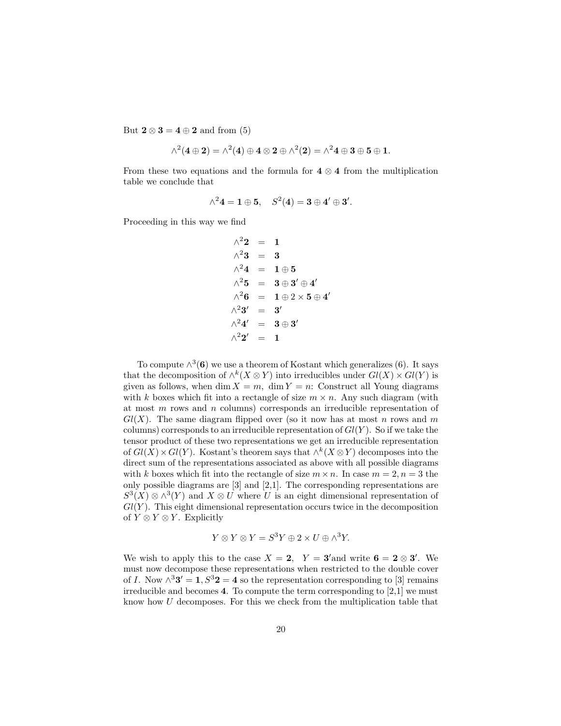But  $2 \otimes 3 = 4 \oplus 2$  and from (5)

$$
\wedge^2(4\oplus 2)=\wedge^2(4)\oplus 4\otimes 2\oplus \wedge^2(2)=\wedge^2 4\oplus 3\oplus 5\oplus 1.
$$

From these two equations and the formula for  $4 \otimes 4$  from the multiplication table we conclude that

$$
\wedge^2 4 = 1 \oplus 5, \quad S^2(4) = 3 \oplus 4' \oplus 3'.
$$

Proceeding in this way we find

$$
\begin{array}{rcl}\n\wedge^2 2 & = & 1 \\
\wedge^2 3 & = & 3 \\
\wedge^2 4 & = & 1 \oplus 5 \\
\wedge^2 5 & = & 3 \oplus 3' \oplus 4' \\
\wedge^2 6 & = & 1 \oplus 2 \times 5 \oplus 4 \\
\wedge^2 3' & = & 3' \\
\wedge^2 4' & = & 3 \oplus 3' \\
\wedge^2 2' & = & 1\n\end{array}
$$

′

To compute  $\wedge^3$  (6) we use a theorem of Kostant which generalizes (6). It says that the decomposition of  $\wedge^k(X \otimes Y)$  into irreducibles under  $Gl(X) \times Gl(Y)$  is given as follows, when dim  $X = m$ , dim  $Y = n$ : Construct all Young diagrams with k boxes which fit into a rectangle of size  $m \times n$ . Any such diagram (with at most  $m$  rows and  $n$  columns) corresponds an irreducible representation of  $Gl(X)$ . The same diagram flipped over (so it now has at most n rows and m columns) corresponds to an irreducible representation of  $Gl(Y)$ . So if we take the tensor product of these two representations we get an irreducible representation of  $Gl(X) \times Gl(Y)$ . Kostant's theorem says that  $\wedge^k (X \otimes Y)$  decomposes into the direct sum of the representations associated as above with all possible diagrams with k boxes which fit into the rectangle of size  $m \times n$ . In case  $m = 2, n = 3$  the only possible diagrams are [3] and [2,1]. The corresponding representations are  $S^3(X) \otimes \wedge^3(Y)$  and  $X \otimes U$  where U is an eight dimensional representation of  $Gl(Y)$ . This eight dimensional representation occurs twice in the decomposition of  $Y \otimes Y \otimes Y$ . Explicitly

$$
Y \otimes Y \otimes Y = S^3 Y \oplus 2 \times U \oplus \wedge^3 Y.
$$

We wish to apply this to the case  $X = 2$ ,  $Y = 3'$  and write  $6 = 2 \otimes 3'$ . We must now decompose these representations when restricted to the double cover of I. Now  $\wedge^3 3' = 1, S^3 2 = 4$  so the representation corresponding to [3] remains irreducible and becomes 4. To compute the term corresponding to [2,1] we must know how U decomposes. For this we check from the multiplication table that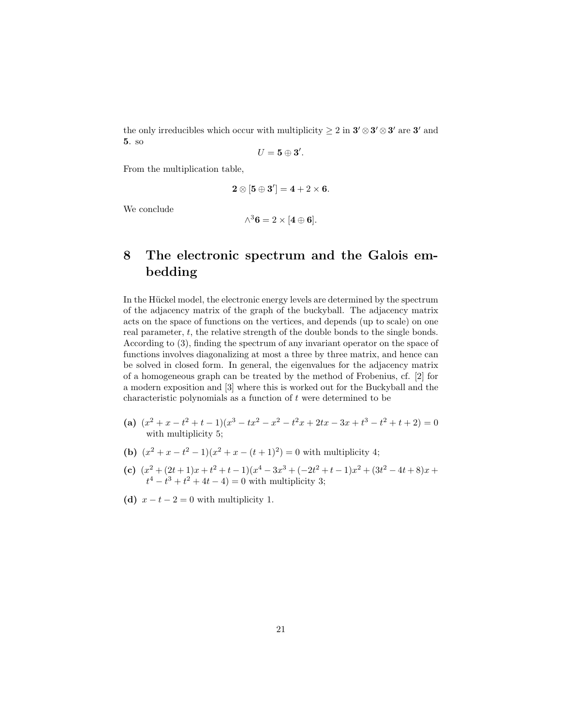the only irreducibles which occur with multiplicity  $\geq 2$  in  $3'\otimes 3'\otimes 3'$  are  $3'$  and 5. so

$$
U=\mathbf{5}\oplus \mathbf{3}^{\prime }.
$$

From the multiplication table,

$$
\mathbf{2} \otimes [\mathbf{5} \oplus \mathbf{3}'] = \mathbf{4} + 2 \times \mathbf{6}.
$$

We conclude

$$
\wedge^3 \mathbf{6} = 2 \times [\mathbf{4} \oplus \mathbf{6}].
$$

## 8 The electronic spectrum and the Galois embedding

In the Hückel model, the electronic energy levels are determined by the spectrum of the adjacency matrix of the graph of the buckyball. The adjacency matrix acts on the space of functions on the vertices, and depends (up to scale) on one real parameter, t, the relative strength of the double bonds to the single bonds. According to (3), finding the spectrum of any invariant operator on the space of functions involves diagonalizing at most a three by three matrix, and hence can be solved in closed form. In general, the eigenvalues for the adjacency matrix of a homogeneous graph can be treated by the method of Frobenius, cf. [2] for a modern exposition and [3] where this is worked out for the Buckyball and the characteristic polynomials as a function of  $t$  were determined to be

- (a)  $(x^2 + x t^2 + t 1)(x^3 tx^2 x^2 t^2x + 2tx 3x + t^3 t^2 + t + 2) = 0$ with multiplicity 5;
- (b)  $(x^2 + x t^2 1)(x^2 + x (t+1)^2) = 0$  with multiplicity 4;
- (c)  $(x^2 + (2t+1)x + t^2 + t 1)(x^4 3x^3 + (-2t^2 + t 1)x^2 + (3t^2 4t + 8)x +$  $t^4 - t^3 + t^2 + 4t - 4 = 0$  with multiplicity 3;
- (d)  $x t 2 = 0$  with multiplicity 1.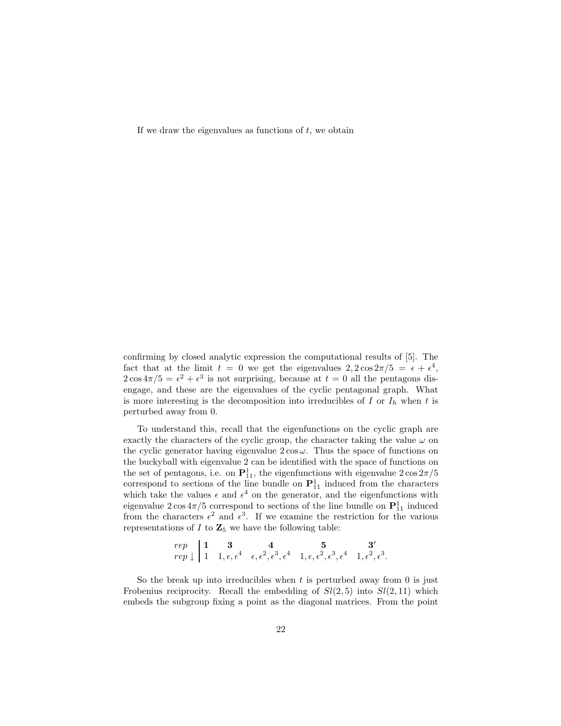If we draw the eigenvalues as functions of  $t$ , we obtain

confirming by closed analytic expression the computational results of [5]. The fact that at the limit  $t = 0$  we get the eigenvalues  $2, 2\cos 2\pi/5 = \epsilon + \epsilon^4$ ,  $2\cos 4\pi/5 = \epsilon^2 + \epsilon^3$  is not surprising, because at  $t = 0$  all the pentagons disengage, and these are the eigenvalues of the cyclic pentagonal graph. What is more interesting is the decomposition into irreducibles of  $I$  or  $I<sub>h</sub>$  when  $t$  is perturbed away from 0.

To understand this, recall that the eigenfunctions on the cyclic graph are exactly the characters of the cyclic group, the character taking the value  $\omega$  on the cyclic generator having eigenvalue  $2 \cos \omega$ . Thus the space of functions on the buckyball with eigenvalue 2 can be identified with the space of functions on the set of pentagons, i.e. on  $\mathbf{P}_{11}^1$ , the eigenfunctions with eigenvalue  $2\cos 2\pi/5$ correspond to sections of the line bundle on  $\mathbf{P}_{11}^1$  induced from the characters which take the values  $\epsilon$  and  $\epsilon^4$  on the generator, and the eigenfunctions with eigenvalue  $2\cos 4\pi/5$  correspond to sections of the line bundle on  $\mathbf{P}_{11}^1$  induced from the characters  $\epsilon^2$  and  $\epsilon^3$ . If we examine the restriction for the various representations of  $I$  to  $\mathbb{Z}_5$  we have the following table:

$$
\begin{array}{c|cccc}\nrep & 1 & 3 & 4 & 5 & 3' \\
rep & 1 & 1, \epsilon, \epsilon^4 & \epsilon, \epsilon^2, \epsilon^3, \epsilon^4 & 1, \epsilon, \epsilon^2, \epsilon^3, \epsilon^4 & 1, \epsilon^2, \epsilon^3.\n\end{array}
$$

So the break up into irreducibles when  $t$  is perturbed away from 0 is just Frobenius reciprocity. Recall the embedding of  $Sl(2, 5)$  into  $Sl(2, 11)$  which embeds the subgroup fixing a point as the diagonal matrices. From the point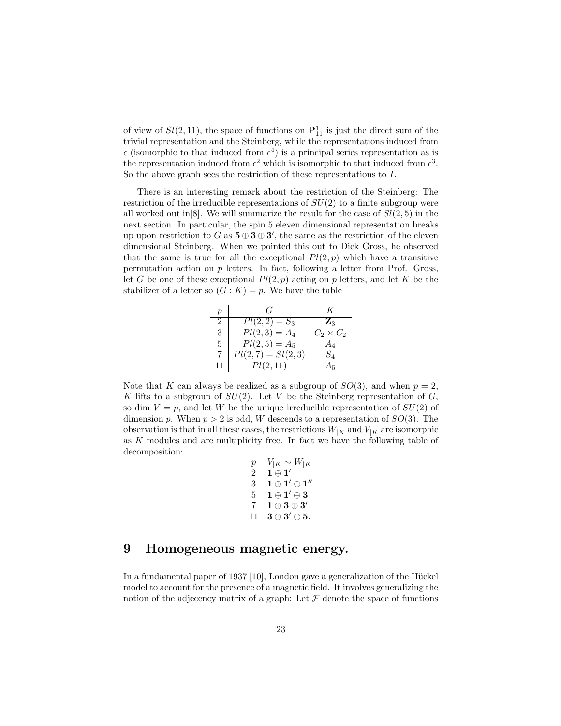of view of  $Sl(2, 11)$ , the space of functions on  $\mathbf{P}_{11}^1$  is just the direct sum of the trivial representation and the Steinberg, while the representations induced from  $\epsilon$  (isomorphic to that induced from  $\epsilon^4$ ) is a principal series representation as is the representation induced from  $\epsilon^2$  which is isomorphic to that induced from  $\epsilon^3$ . So the above graph sees the restriction of these representations to I.

There is an interesting remark about the restriction of the Steinberg: The restriction of the irreducible representations of  $SU(2)$  to a finite subgroup were all worked out in [8]. We will summarize the result for the case of  $Sl(2, 5)$  in the next section. In particular, the spin 5 eleven dimensional representation breaks up upon restriction to G as  $\mathbf{5} \oplus \mathbf{3} \oplus \mathbf{3}'$ , the same as the restriction of the eleven dimensional Steinberg. When we pointed this out to Dick Gross, he observed that the same is true for all the exceptional  $Pl(2, p)$  which have a transitive permutation action on p letters. In fact, following a letter from Prof. Gross, let G be one of these exceptional  $Pl(2, p)$  acting on p letters, and let K be the stabilizer of a letter so  $(G: K) = p$ . We have the table

| $\boldsymbol{p}$ | ( ÷                 | K                |
|------------------|---------------------|------------------|
| $\overline{2}$   | $Pl(2,2) = S_3$     | $\mathbf{Z}_3$   |
| 3                | $Pl(2,3) = A_4$     | $C_2 \times C_2$ |
| 5.               | $Pl(2,5) = A_5$     | $A_4$            |
|                  | $Pl(2,7) = Sl(2,3)$ | $S_4$            |
| 11               | Pl(2, 11)           | Aς               |

Note that K can always be realized as a subgroup of  $SO(3)$ , and when  $p = 2$ , K lifts to a subgroup of  $SU(2)$ . Let V be the Steinberg representation of G, so dim  $V = p$ , and let W be the unique irreducible representation of  $SU(2)$  of dimension p. When  $p > 2$  is odd, W descends to a representation of  $SO(3)$ . The observation is that in all these cases, the restrictions  $W_{|K}$  and  $V_{|K}$  are isomorphic as K modules and are multiplicity free. In fact we have the following table of decomposition:

> $p$  V<sub>|K</sub> ∼ W<sub>|K</sub>  $2\quad \mathbf{1}\oplus\mathbf{1'}$  $3 \quad 1 \oplus 1' \oplus 1''$  $5\quad \mathbf{1}\oplus\mathbf{1'}\oplus\mathbf{3}$  $7\quad 1 \oplus 3 \oplus 3'$ 11  $3 \oplus 3' \oplus 5$ .

### 9 Homogeneous magnetic energy.

In a fundamental paper of  $1937$  [10], London gave a generalization of the Hückel model to account for the presence of a magnetic field. It involves generalizing the notion of the adjecency matrix of a graph: Let  $\mathcal F$  denote the space of functions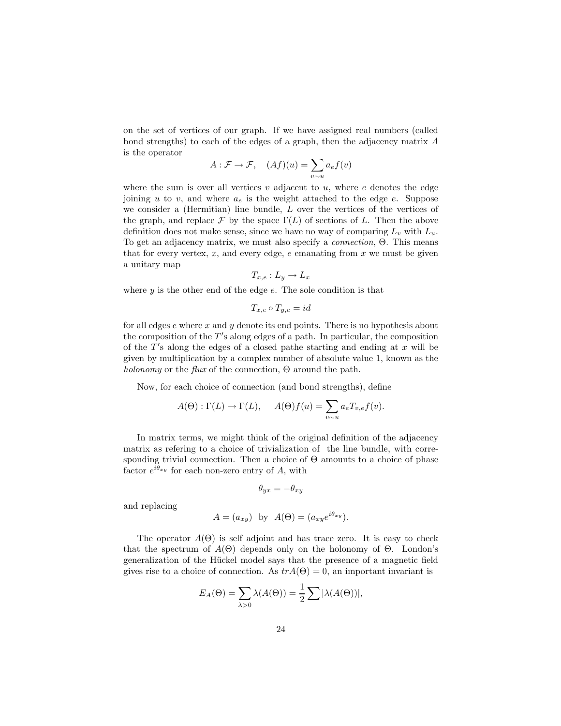on the set of vertices of our graph. If we have assigned real numbers (called bond strengths) to each of the edges of a graph, then the adjacency matrix A is the operator

$$
A: \mathcal{F} \to \mathcal{F}, \quad (Af)(u) = \sum_{v \sim u} a_e f(v)
$$

where the sum is over all vertices  $v$  adjacent to  $u$ , where  $e$  denotes the edge joining u to v, and where  $a_e$  is the weight attached to the edge e. Suppose we consider a (Hermitian) line bundle, L over the vertices of the vertices of the graph, and replace  $\mathcal F$  by the space  $\Gamma(L)$  of sections of L. Then the above definition does not make sense, since we have no way of comparing  $L_v$  with  $L_u$ . To get an adjacency matrix, we must also specify a connection, Θ. This means that for every vertex,  $x$ , and every edge,  $e$  emanating from  $x$  we must be given a unitary map

$$
T_{x,e}: L_y \to L_x
$$

where  $y$  is the other end of the edge  $e$ . The sole condition is that

$$
T_{x,e} \circ T_{y,e} = id
$$

for all edges  $e$  where  $x$  and  $y$  denote its end points. There is no hypothesis about the composition of the T's along edges of a path. In particular, the composition of the  $T'$ s along the edges of a closed pathe starting and ending at  $x$  will be given by multiplication by a complex number of absolute value 1, known as the holonomy or the flux of the connection,  $\Theta$  around the path.

Now, for each choice of connection (and bond strengths), define

$$
A(\Theta): \Gamma(L) \to \Gamma(L), \qquad A(\Theta)f(u) = \sum_{v \sim u} a_e T_{v,e} f(v).
$$

In matrix terms, we might think of the original definition of the adjacency matrix as refering to a choice of trivialization of the line bundle, with corresponding trivial connection. Then a choice of  $\Theta$  amounts to a choice of phase factor  $e^{i\theta_{xy}}$  for each non-zero entry of A, with

$$
\theta_{yx} = -\theta_{xy}
$$

and replacing

$$
A = (a_{xy}) \text{ by } A(\Theta) = (a_{xy}e^{i\theta_{xy}}).
$$

The operator  $A(\Theta)$  is self adjoint and has trace zero. It is easy to check that the spectrum of  $A(\Theta)$  depends only on the holonomy of  $\Theta$ . London's generalization of the Hückel model says that the presence of a magnetic field gives rise to a choice of connection. As  $trA(\Theta) = 0$ , an important invariant is

$$
E_A(\Theta) = \sum_{\lambda > 0} \lambda(A(\Theta)) = \frac{1}{2} \sum |\lambda(A(\Theta))|,
$$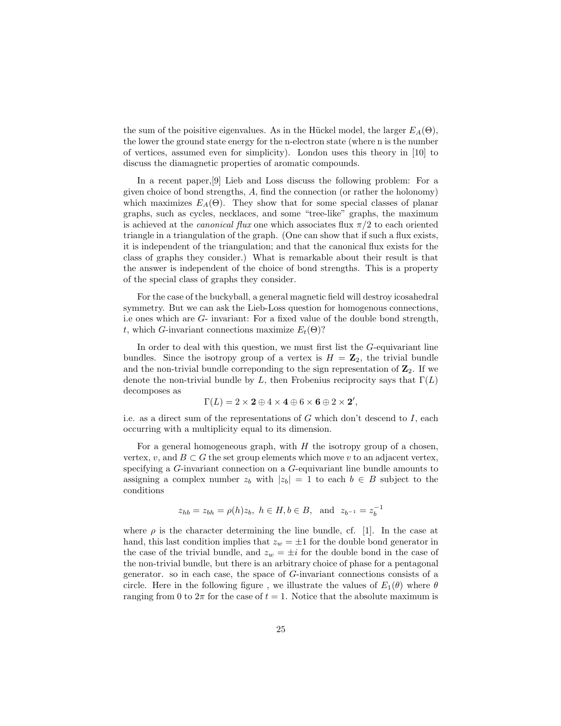the sum of the poisitive eigenvalues. As in the Hückel model, the larger  $E_A(\Theta)$ , the lower the ground state energy for the n-electron state (where n is the number of vertices, assumed even for simplicity). London uses this theory in [10] to discuss the diamagnetic properties of aromatic compounds.

In a recent paper,[9] Lieb and Loss discuss the following problem: For a given choice of bond strengths, A, find the connection (or rather the holonomy) which maximizes  $E_A(\Theta)$ . They show that for some special classes of planar graphs, such as cycles, necklaces, and some "tree-like" graphs, the maximum is achieved at the *canonical flux* one which associates flux  $\pi/2$  to each oriented triangle in a triangulation of the graph. (One can show that if such a flux exists, it is independent of the triangulation; and that the canonical flux exists for the class of graphs they consider.) What is remarkable about their result is that the answer is independent of the choice of bond strengths. This is a property of the special class of graphs they consider.

For the case of the buckyball, a general magnetic field will destroy icosahedral symmetry. But we can ask the Lieb-Loss question for homogenous connections, i.e ones which are G- invariant: For a fixed value of the double bond strength, t, which G-invariant connections maximize  $E_t(\Theta)$ ?

In order to deal with this question, we must first list the G-equivariant line bundles. Since the isotropy group of a vertex is  $H = \mathbb{Z}_2$ , the trivial bundle and the non-trivial bundle corresponding to the sign representation of  $\mathbb{Z}_2$ . If we denote the non-trivial bundle by L, then Frobenius reciprocity says that  $\Gamma(L)$ decomposes as

$$
\Gamma(L) = 2 \times \mathbf{2} \oplus 4 \times \mathbf{4} \oplus 6 \times \mathbf{6} \oplus 2 \times \mathbf{2}',
$$

i.e. as a direct sum of the representations of  $G$  which don't descend to  $I$ , each occurring with a multiplicity equal to its dimension.

For a general homogeneous graph, with  $H$  the isotropy group of a chosen, vertex, v, and  $B \subset G$  the set group elements which move v to an adjacent vertex, specifying a G-invariant connection on a G-equivariant line bundle amounts to assigning a complex number  $z_b$  with  $|z_b| = 1$  to each  $b \in B$  subject to the conditions

$$
z_{hb} = z_{bh} = \rho(h)z_b, \ h \in H, b \in B, \text{ and } z_{b^{-1}} = z_b^{-1}
$$

where  $\rho$  is the character determining the line bundle, cf. [1]. In the case at hand, this last condition implies that  $z_w = \pm 1$  for the double bond generator in the case of the trivial bundle, and  $z_w = \pm i$  for the double bond in the case of the non-trivial bundle, but there is an arbitrary choice of phase for a pentagonal generator. so in each case, the space of G-invariant connections consists of a circle. Here in the following figure, we illustrate the values of  $E_1(\theta)$  where  $\theta$ ranging from 0 to  $2\pi$  for the case of  $t = 1$ . Notice that the absolute maximum is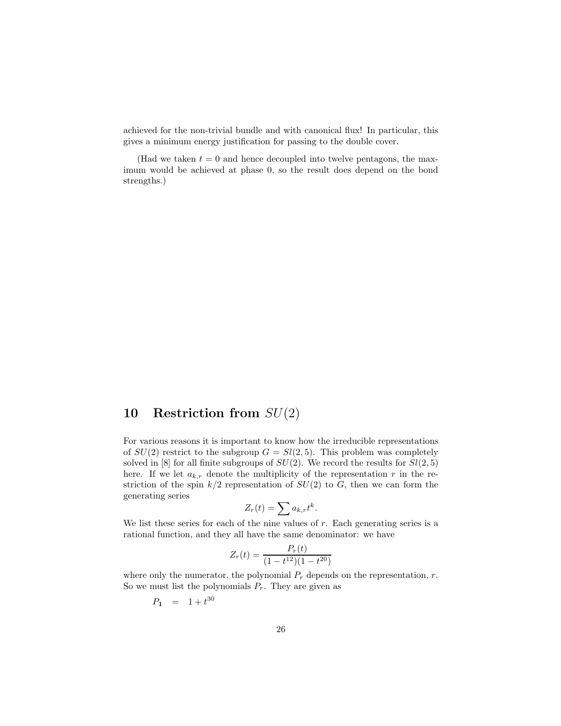achieved for the non-trivial bundle and with canonical flux! In particular, this gives a minimum energy justification for passing to the double cover.

(Had we taken  $t = 0$  and hence decoupled into twelve pentagons, the maximum would be achieved at phase 0, so the result does depend on the bond strengths.)

### 10 Restriction from  $SU(2)$

For various reasons it is important to know how the irreducible representations of  $SU(2)$  restrict to the subgroup  $G = Sl(2, 5)$ . This problem was completely solved in [8] for all finite subgroups of  $SU(2)$ . We record the results for  $Sl(2,5)$ here. If we let  $a_{k,r}$  denote the multiplicity of the representation r in the restriction of the spin  $k/2$  representation of  $SU(2)$  to G, then we can form the generating series

$$
Z_r(t) = \sum a_{k,r} t^k.
$$

We list these series for each of the nine values of  $r$ . Each generating series is a rational function, and they all have the same denominator: we have

$$
Z_r(t) = \frac{P_r(t)}{(1 - t^{12})(1 - t^{20})}
$$

where only the numerator, the polynomial  $P_r$  depends on the representation, r. So we must list the polynomials  $P_r$ . They are given as

$$
P_1 = 1 + t^{30}
$$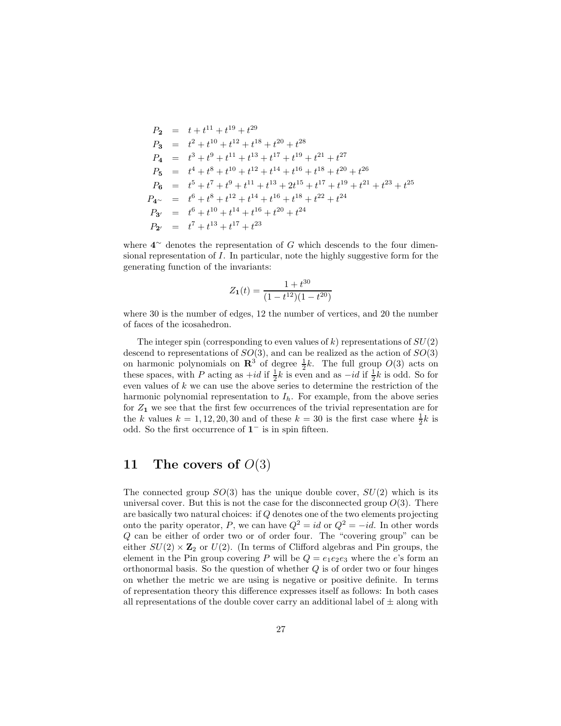$$
P_2 = t + t^{11} + t^{19} + t^{29}
$$
  
\n
$$
P_3 = t^2 + t^{10} + t^{12} + t^{18} + t^{20} + t^{28}
$$
  
\n
$$
P_4 = t^3 + t^9 + t^{11} + t^{13} + t^{17} + t^{19} + t^{21} + t^{27}
$$
  
\n
$$
P_5 = t^4 + t^8 + t^{10} + t^{12} + t^{14} + t^{16} + t^{18} + t^{20} + t^{26}
$$
  
\n
$$
P_6 = t^5 + t^7 + t^9 + t^{11} + t^{13} + 2t^{15} + t^{17} + t^{19} + t^{21} + t^{23} + t^{25}
$$
  
\n
$$
P_{4\sim} = t^6 + t^8 + t^{12} + t^{14} + t^{16} + t^{18} + t^{22} + t^{24}
$$
  
\n
$$
P_{3'} = t^6 + t^{10} + t^{14} + t^{16} + t^{20} + t^{24}
$$
  
\n
$$
P_{2'} = t^7 + t^{13} + t^{17} + t^{23}
$$

where  $4^{\sim}$  denotes the representation of G which descends to the four dimensional representation of I. In particular, note the highly suggestive form for the generating function of the invariants:

$$
Z_1(t) = \frac{1 + t^{30}}{(1 - t^{12})(1 - t^{20})}
$$

where 30 is the number of edges, 12 the number of vertices, and 20 the number of faces of the icosahedron.

The integer spin (corresponding to even values of  $k$ ) representations of  $SU(2)$ descend to representations of  $SO(3)$ , and can be realized as the action of  $SO(3)$ on harmonic polynomials on  $\mathbb{R}^3$  of degree  $\frac{1}{2}k$ . The full group  $O(3)$  acts on these spaces, with P acting as  $+id$  if  $\frac{1}{2}k$  is even and as  $-id$  if  $\frac{1}{2}k$  is odd. So for even values of k we can use the above series to determine the restriction of the harmonic polynomial representation to  $I<sub>h</sub>$ . For example, from the above series for  $Z_1$  we see that the first few occurrences of the trivial representation are for the k values  $k = 1, 12, 20, 30$  and of these  $k = 30$  is the first case where  $\frac{1}{2}k$  is odd. So the first occurrence of  $1^-$  is in spin fifteen.

#### 11 The covers of  $O(3)$

The connected group  $SO(3)$  has the unique double cover,  $SU(2)$  which is its universal cover. But this is not the case for the disconnected group  $O(3)$ . There are basically two natural choices: if Q denotes one of the two elements projecting onto the parity operator, P, we can have  $Q^2 = id$  or  $Q^2 = -id$ . In other words Q can be either of order two or of order four. The "covering group" can be either  $SU(2) \times \mathbb{Z}_2$  or  $U(2)$ . (In terms of Clifford algebras and Pin groups, the element in the Pin group covering P will be  $Q = e_1e_2e_3$  where the e's form an orthonormal basis. So the question of whether  $Q$  is of order two or four hinges on whether the metric we are using is negative or positive definite. In terms of representation theory this difference expresses itself as follows: In both cases all representations of the double cover carry an additional label of  $\pm$  along with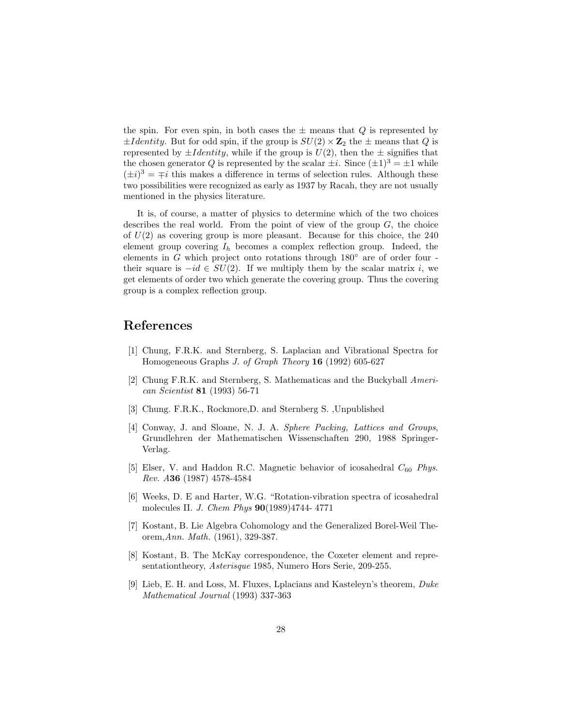the spin. For even spin, in both cases the  $\pm$  means that  $Q$  is represented by  $\pm$ Identity. But for odd spin, if the group is  $SU(2) \times \mathbb{Z}_2$  the  $\pm$  means that Q is represented by  $\pm$ *I dentity*, while if the group is  $U(2)$ , then the  $\pm$  signifies that the chosen generator Q is represented by the scalar  $\pm i$ . Since  $(\pm 1)^3 = \pm 1$  while  $(\pm i)^3 = \mp i$  this makes a difference in terms of selection rules. Although these two possibilities were recognized as early as 1937 by Racah, they are not usually mentioned in the physics literature.

It is, of course, a matter of physics to determine which of the two choices describes the real world. From the point of view of the group  $G$ , the choice of  $U(2)$  as covering group is more pleasant. Because for this choice, the 240 element group covering  $I_h$  becomes a complex reflection group. Indeed, the elements in  $G$  which project onto rotations through  $180°$  are of order four their square is  $-id \in SU(2)$ . If we multiply them by the scalar matrix i, we get elements of order two which generate the covering group. Thus the covering group is a complex reflection group.

#### References

- [1] Chung, F.R.K. and Sternberg, S. Laplacian and Vibrational Spectra for Homogeneous Graphs J. of Graph Theory 16 (1992) 605-627
- [2] Chung F.R.K. and Sternberg, S. Mathematicas and the Buckyball American Scientist 81 (1993) 56-71
- [3] Chung. F.R.K., Rockmore,D. and Sternberg S. ,Unpublished
- [4] Conway, J. and Sloane, N. J. A. Sphere Packing, Lattices and Groups, Grundlehren der Mathematischen Wissenschaften 290, 1988 Springer-Verlag.
- [5] Elser, V. and Haddon R.C. Magnetic behavior of icosahedral  $C_{60}$  Phys. Rev. A36 (1987) 4578-4584
- [6] Weeks, D. E and Harter, W.G. "Rotation-vibration spectra of icosahedral molecules II. J. Chem Phys 90(1989)4744- 4771
- [7] Kostant, B. Lie Algebra Cohomology and the Generalized Borel-Weil Theorem,Ann. Math. (1961), 329-387.
- [8] Kostant, B. The McKay correspondence, the Coxeter element and representationtheory, *Asterisque* 1985, Numero Hors Serie, 209-255.
- [9] Lieb, E. H. and Loss, M. Fluxes, Lplacians and Kasteleyn's theorem, Duke Mathematical Journal (1993) 337-363